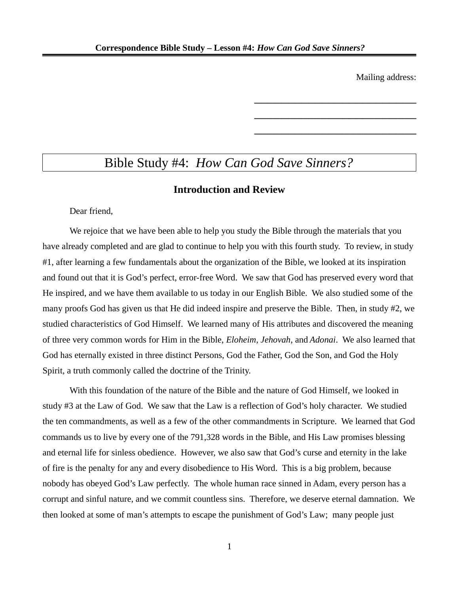Mailing address:

\_\_\_\_\_\_\_\_\_\_\_\_\_\_\_\_\_\_\_\_\_\_\_\_

\_\_\_\_\_\_\_\_\_\_\_\_\_\_\_\_\_\_\_\_\_\_\_\_

\_\_\_\_\_\_\_\_\_\_\_\_\_\_\_\_\_\_\_\_\_\_\_\_

# Bible Study #4: *How Can God Save Sinners?*

## **Introduction and Review**

Dear friend,

We rejoice that we have been able to help you study the Bible through the materials that you have already completed and are glad to continue to help you with this fourth study. To review, in study #1, after learning a few fundamentals about the organization of the Bible, we looked at its inspiration and found out that it is God's perfect, error-free Word. We saw that God has preserved every word that He inspired, and we have them available to us today in our English Bible. We also studied some of the many proofs God has given us that He did indeed inspire and preserve the Bible. Then, in study #2, we studied characteristics of God Himself. We learned many of His attributes and discovered the meaning of three very common words for Him in the Bible, *Eloheim*, *Jehovah*, and *Adonai*. We also learned that God has eternally existed in three distinct Persons, God the Father, God the Son, and God the Holy Spirit, a truth commonly called the doctrine of the Trinity.

With this foundation of the nature of the Bible and the nature of God Himself, we looked in study #3 at the Law of God. We saw that the Law is a reflection of God's holy character. We studied the ten commandments, as well as a few of the other commandments in Scripture. We learned that God commands us to live by every one of the 791,328 words in the Bible, and His Law promises blessing and eternal life for sinless obedience. However, we also saw that God's curse and eternity in the lake of fire is the penalty for any and every disobedience to His Word. This is a big problem, because nobody has obeyed God's Law perfectly. The whole human race sinned in Adam, every person has a corrupt and sinful nature, and we commit countless sins. Therefore, we deserve eternal damnation. We then looked at some of man's attempts to escape the punishment of God's Law; many people just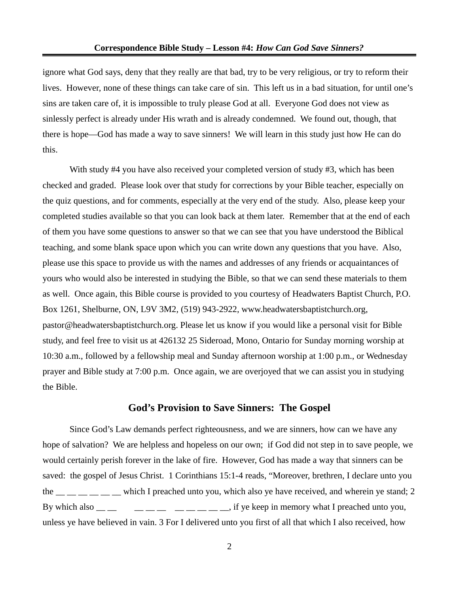ignore what God says, deny that they really are that bad, try to be very religious, or try to reform their lives. However, none of these things can take care of sin. This left us in a bad situation, for until one's sins are taken care of, it is impossible to truly please God at all. Everyone God does not view as sinlessly perfect is already under His wrath and is already condemned. We found out, though, that there is hope—God has made a way to save sinners! We will learn in this study just how He can do this.

With study #4 you have also received your completed version of study #3, which has been checked and graded. Please look over that study for corrections by your Bible teacher, especially on the quiz questions, and for comments, especially at the very end of the study. Also, please keep your completed studies available so that you can look back at them later. Remember that at the end of each of them you have some questions to answer so that we can see that you have understood the Biblical teaching, and some blank space upon which you can write down any questions that you have. Also, please use this space to provide us with the names and addresses of any friends or acquaintances of yours who would also be interested in studying the Bible, so that we can send these materials to them as well. Once again, this Bible course is provided to you courtesy of Headwaters Baptist Church, P.O. Box 1261, Shelburne, ON, L9V 3M2, (519) 943-2922, www.headwatersbaptistchurch.org, pastor@headwatersbaptistchurch.org. Please let us know if you would like a personal visit for Bible study, and feel free to visit us at 426132 25 Sideroad, Mono, Ontario for Sunday morning worship at 10:30 a.m., followed by a fellowship meal and Sunday afternoon worship at 1:00 p.m., or Wednesday prayer and Bible study at 7:00 p.m. Once again, we are overjoyed that we can assist you in studying the Bible.

### **God's Provision to Save Sinners: The Gospel**

Since God's Law demands perfect righteousness, and we are sinners, how can we have any hope of salvation? We are helpless and hopeless on our own; if God did not step in to save people, we would certainly perish forever in the lake of fire. However, God has made a way that sinners can be saved: the gospel of Jesus Christ. 1 Corinthians 15:1-4 reads, "Moreover, brethren, I declare unto you the  $\mu =$   $\mu$   $\mu$   $\mu$   $\mu$   $\mu$  which I preached unto you, which also ye have received, and wherein ye stand; 2 By which also  $\frac{m}{m}$   $\frac{m}{m}$   $\frac{m}{m}$   $\frac{m}{m}$   $\frac{m}{m}$   $\frac{m}{m}$ , if ye keep in memory what I preached unto you, unless ye have believed in vain. 3 For I delivered unto you first of all that which I also received, how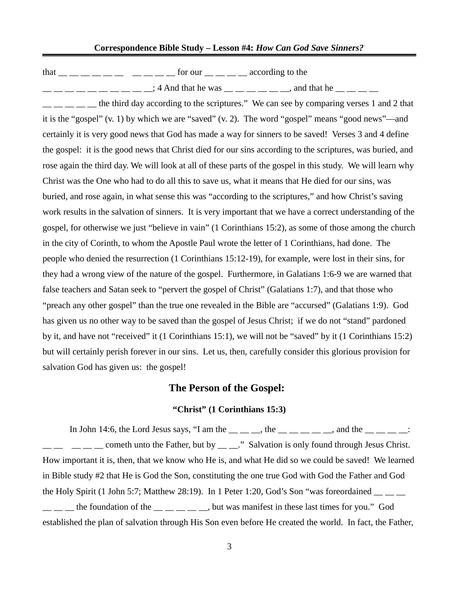that  $\frac{1}{1}$   $\frac{1}{1}$   $\frac{1}{1}$   $\frac{1}{1}$   $\frac{1}{1}$   $\frac{1}{1}$   $\frac{1}{1}$   $\frac{1}{1}$   $\frac{1}{1}$   $\frac{1}{1}$   $\frac{1}{1}$   $\frac{1}{1}$   $\frac{1}{1}$   $\frac{1}{1}$   $\frac{1}{1}$   $\frac{1}{1}$   $\frac{1}{1}$   $\frac{1}{1}$   $\frac{1}{1}$   $\frac{1}{1}$   $\frac{1}{1}$   $\frac{1}{$ 

 $\frac{1}{2}$   $\frac{1}{2}$   $\frac{1}{2}$   $\frac{1}{2}$   $\frac{1}{2}$   $\frac{1}{2}$   $\frac{1}{2}$   $\frac{1}{2}$   $\frac{1}{2}$   $\frac{1}{2}$   $\frac{1}{2}$   $\frac{1}{2}$   $\frac{1}{2}$   $\frac{1}{2}$   $\frac{1}{2}$   $\frac{1}{2}$   $\frac{1}{2}$   $\frac{1}{2}$   $\frac{1}{2}$   $\frac{1}{2}$   $\frac{1}{2}$   $\frac{1}{2}$ 

 $\frac{1}{1}$   $\frac{1}{1}$   $\frac{1}{1}$  the third day according to the scriptures." We can see by comparing verses 1 and 2 that it is the "gospel" (v. 1) by which we are "saved" (v. 2). The word "gospel" means "good news"—and certainly it is very good news that God has made a way for sinners to be saved! Verses 3 and 4 define the gospel: it is the good news that Christ died for our sins according to the scriptures, was buried, and rose again the third day. We will look at all of these parts of the gospel in this study. We will learn why Christ was the One who had to do all this to save us, what it means that He died for our sins, was buried, and rose again, in what sense this was "according to the scriptures," and how Christ's saving work results in the salvation of sinners. It is very important that we have a correct understanding of the gospel, for otherwise we just "believe in vain" (1 Corinthians 15:2), as some of those among the church in the city of Corinth, to whom the Apostle Paul wrote the letter of 1 Corinthians, had done. The people who denied the resurrection (1 Corinthians 15:12-19), for example, were lost in their sins, for they had a wrong view of the nature of the gospel. Furthermore, in Galatians 1:6-9 we are warned that false teachers and Satan seek to "pervert the gospel of Christ" (Galatians 1:7), and that those who "preach any other gospel" than the true one revealed in the Bible are "accursed" (Galatians 1:9). God has given us no other way to be saved than the gospel of Jesus Christ; if we do not "stand" pardoned by it, and have not "received" it (1 Corinthians 15:1), we will not be "saved" by it (1 Corinthians 15:2) but will certainly perish forever in our sins. Let us, then, carefully consider this glorious provision for salvation God has given us: the gospel!

## **The Person of the Gospel:**

### **"Christ" (1 Corinthians 15:3)**

In John 14:6, the Lord Jesus says, "I am the  $\_\_$   $\_\_$ , the  $\_\_$   $\_\_$   $\_\_$  and the  $\_\_$   $\_\_$  $\frac{1}{1-\frac{1}{1-\frac{1}{1-\frac{1}{1-\frac{1}{1-\frac{1}{1-\frac{1}{1-\frac{1}{1-\frac{1}{1-\frac{1}{1-\frac{1}{1-\frac{1}{1-\frac{1}{1-\frac{1}{1-\frac{1}{1-\frac{1}{1-\frac{1}{1-\frac{1}{1-\frac{1}{1-\frac{1}{1-\frac{1}{1-\frac{1}{1-\frac{1}{1-\frac{1}{1-\frac{1}{1-\frac{1}{1-\frac{1}{1-\frac{1}{1-\frac{1}{1-\frac{1}{1-\frac{1}{1-\frac{1}{1-\frac{1}{1-\frac{1}{1-\frac{1}{1-\frac{1}{1-\frac{1$ How important it is, then, that we know who He is, and what He did so we could be saved! We learned in Bible study #2 that He is God the Son, constituting the one true God with God the Father and God the Holy Spirit (1 John 5:7; Matthew 28:19). In 1 Peter 1:20, God's Son "was foreordained  $\_\_$  $\frac{1}{1}$   $\frac{1}{1}$  the foundation of the  $\frac{1}{1}$   $\frac{1}{1}$   $\frac{1}{1}$   $\frac{1}{1}$  but was manifest in these last times for you." God established the plan of salvation through His Son even before He created the world. In fact, the Father,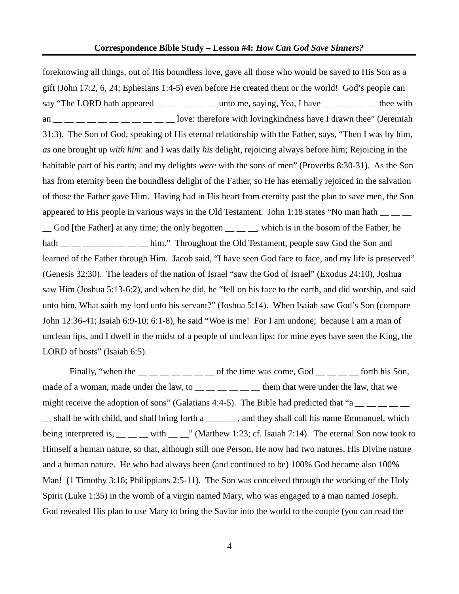foreknowing all things, out of His boundless love, gave all those who would be saved to His Son as a gift (John 17:2, 6, 24; Ephesians 1:4-5) even before He created them or the world! God's people can say "The LORD hath appeared  $\_\_\_\_\_\_\_\_\_\$ unto me, saying, Yea, I have  $\_\_\_\_\_\_\_\_\_\_\_\_\_\_\$ thee with an  $\frac{m}{m}$   $\frac{m}{m}$   $\frac{m}{m}$   $\frac{m}{m}$   $\frac{m}{m}$   $\frac{m}{m}$  love: therefore with lovingkindness have I drawn thee" (Jeremiah 31:3). The Son of God, speaking of His eternal relationship with the Father, says, "Then I was by him, *as* one brought up *with him*: and I was daily *his* delight, rejoicing always before him; Rejoicing in the habitable part of his earth; and my delights *were* with the sons of men" (Proverbs 8:30-31). As the Son has from eternity been the boundless delight of the Father, so He has eternally rejoiced in the salvation of those the Father gave Him. Having had in His heart from eternity past the plan to save men, the Son appeared to His people in various ways in the Old Testament. John 1:18 states "No man hath  $\frac{1}{\sqrt{2}}$ \_\_ God [the Father] at any time; the only begotten \_\_ \_\_ \_\_, which is in the bosom of the Father, he hath  $\Box$  \_ \_ \_ \_ \_ \_ him." Throughout the Old Testament, people saw God the Son and learned of the Father through Him. Jacob said, "I have seen God face to face, and my life is preserved" (Genesis 32:30). The leaders of the nation of Israel "saw the God of Israel" (Exodus 24:10), Joshua saw Him (Joshua 5:13-6:2), and when he did, he "fell on his face to the earth, and did worship, and said unto him, What saith my lord unto his servant?" (Joshua 5:14). When Isaiah saw God's Son (compare John 12:36-41; Isaiah 6:9-10; 6:1-8), he said "Woe is me! For I am undone; because I am a man of unclean lips, and I dwell in the midst of a people of unclean lips: for mine eyes have seen the King, the LORD of hosts" (Isaiah 6:5).

Finally, "when the  $\frac{1}{\sqrt{2}}$   $\frac{1}{\sqrt{2}}$   $\frac{1}{\sqrt{2}}$  of the time was come, God  $\frac{1}{\sqrt{2}}$   $\frac{1}{\sqrt{2}}$  forth his Son, made of a woman, made under the law, to  $\frac{1}{2}$   $\frac{1}{2}$   $\frac{1}{2}$   $\frac{1}{2}$  them that were under the law, that we might receive the adoption of sons" (Galatians 4:4-5). The Bible had predicted that "a  $\frac{1}{\sqrt{2}}$   $\frac{1}{\sqrt{2}}$ \_\_ shall be with child, and shall bring forth a \_\_ \_\_ \_\_, and they shall call his name Emmanuel, which being interpreted is,  $\_\_\_\_$  with  $\_\_\_$ " (Matthew 1:23; cf. Isaiah 7:14). The eternal Son now took to Himself a human nature, so that, although still one Person, He now had two natures, His Divine nature and a human nature. He who had always been (and continued to be) 100% God became also 100% Man! (1 Timothy 3:16; Philippians 2:5-11). The Son was conceived through the working of the Holy Spirit (Luke 1:35) in the womb of a virgin named Mary, who was engaged to a man named Joseph. God revealed His plan to use Mary to bring the Savior into the world to the couple (you can read the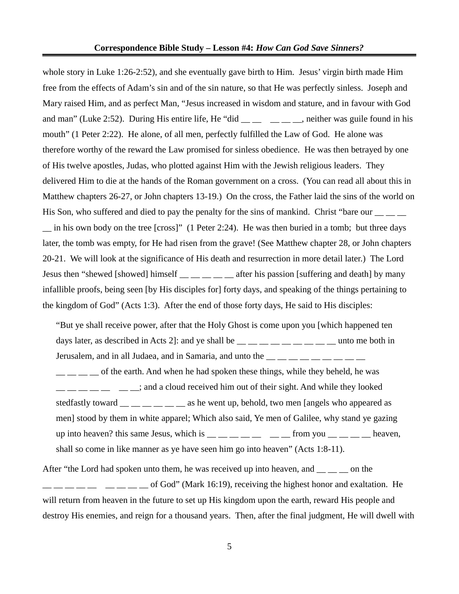whole story in Luke 1:26-2:52), and she eventually gave birth to Him. Jesus' virgin birth made Him free from the effects of Adam's sin and of the sin nature, so that He was perfectly sinless. Joseph and Mary raised Him, and as perfect Man, "Jesus increased in wisdom and stature, and in favour with God and man" (Luke 2:52). During His entire life, He "did  $\_\_$   $\_\_$   $\_\_$  neither was guile found in his mouth" (1 Peter 2:22). He alone, of all men, perfectly fulfilled the Law of God. He alone was therefore worthy of the reward the Law promised for sinless obedience. He was then betrayed by one of His twelve apostles, Judas, who plotted against Him with the Jewish religious leaders. They delivered Him to die at the hands of the Roman government on a cross. (You can read all about this in Matthew chapters 26-27, or John chapters 13-19.) On the cross, the Father laid the sins of the world on His Son, who suffered and died to pay the penalty for the sins of mankind. Christ "bare our  $\frac{1}{\sqrt{2}}$ \_\_ in his own body on the tree [cross]" (1 Peter 2:24). He was then buried in a tomb; but three days later, the tomb was empty, for He had risen from the grave! (See Matthew chapter 28, or John chapters 20-21. We will look at the significance of His death and resurrection in more detail later.) The Lord Jesus then "shewed [showed] himself \_\_ \_ \_ \_ \_ after his passion [suffering and death] by many infallible proofs, being seen [by His disciples for] forty days, and speaking of the things pertaining to the kingdom of God" (Acts 1:3). After the end of those forty days, He said to His disciples:

"But ye shall receive power, after that the Holy Ghost is come upon you [which happened ten days later, as described in Acts 2]: and ye shall be  $\_\_\_\_\_\_\_\_ \_\_ \_\_ \_ \_ \_$  unto me both in Jerusalem, and in all Judaea, and in Samaria, and unto the  $\frac{1}{1}$   $\frac{1}{1}$   $\frac{1}{1}$   $\frac{1}{1}$   $\frac{1}{1}$  $\frac{1}{1}$  \_ \_ \_ \_ of the earth. And when he had spoken these things, while they beheld, he was  $\frac{1}{1-\frac{1}{1-\frac{1}{1-\frac{1}{1-\frac{1}{1-\frac{1}{1-\frac{1}{1-\frac{1}{1-\frac{1}{1-\frac{1}{1-\frac{1}{1-\frac{1}{1-\frac{1}{1-\frac{1}{1-\frac{1}{1-\frac{1}{1-\frac{1}{1-\frac{1}{1-\frac{1}{1-\frac{1}{1-\frac{1}{1-\frac{1}{1-\frac{1}{1-\frac{1}{1-\frac{1}{1-\frac{1}{1-\frac{1}{1-\frac{1}{1-\frac{1}{1-\frac{1}{1-\frac{1}{1-\frac{1}{1-\frac{1}{1-\frac{1}{1-\frac{1}{1-\frac{1}{1-\frac{1$ stedfastly toward  $\frac{m}{m}$   $\frac{m}{m}$   $\frac{m}{m}$  as he went up, behold, two men [angels who appeared as men] stood by them in white apparel; Which also said, Ye men of Galilee, why stand ye gazing up into heaven? this same Jesus, which is  $\frac{1}{2}$   $\frac{1}{2}$   $\frac{1}{2}$   $\frac{1}{2}$   $\frac{1}{2}$  from you  $\frac{1}{2}$   $\frac{1}{2}$   $\frac{1}{2}$  heaven, shall so come in like manner as ye have seen him go into heaven" (Acts 1:8-11).

After "the Lord had spoken unto them, he was received up into heaven, and \_\_ \_\_ \_ on the  $\frac{1}{1}$   $\frac{1}{1}$   $\frac{1}{1}$   $\frac{1}{1}$   $\frac{1}{1}$   $\frac{1}{1}$  of God" (Mark 16:19), receiving the highest honor and exaltation. He will return from heaven in the future to set up His kingdom upon the earth, reward His people and destroy His enemies, and reign for a thousand years. Then, after the final judgment, He will dwell with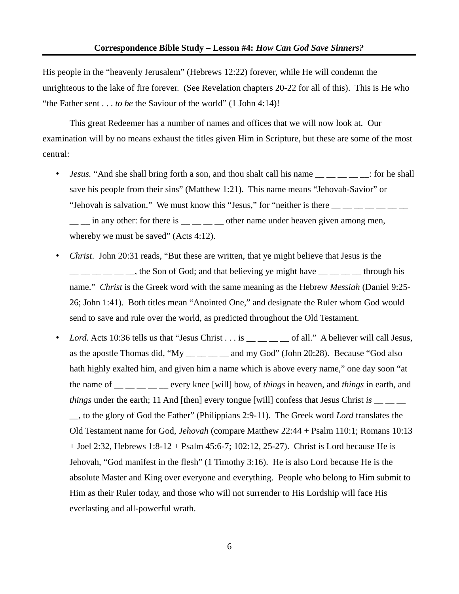His people in the "heavenly Jerusalem" (Hebrews 12:22) forever, while He will condemn the unrighteous to the lake of fire forever. (See Revelation chapters 20-22 for all of this). This is He who "the Father sent . . . *to be* the Saviour of the world" (1 John 4:14)!

This great Redeemer has a number of names and offices that we will now look at. Our examination will by no means exhaust the titles given Him in Scripture, but these are some of the most central:

- *Jesus.* "And she shall bring forth a son, and thou shalt call his name  $\frac{1}{1}$   $\frac{1}{1}$   $\frac{1}{1}$  for he shall save his people from their sins" (Matthew 1:21). This name means "Jehovah-Savior" or "Jehovah is salvation." We must know this "Jesus," for "neither is there  $\frac{1}{\sqrt{2}}$   $\frac{1}{\sqrt{2}}$   $\frac{1}{\sqrt{2}}$   $\frac{1}{\sqrt{2}}$  $\frac{1}{\sqrt{2}}$  in any other: for there is  $\frac{1}{\sqrt{2}}$  other name under heaven given among men, whereby we must be saved" (Acts 4:12).
- *Christ*. John 20:31 reads, "But these are written, that ye might believe that Jesus is the  $\frac{1}{1}$   $\frac{1}{1}$   $\frac{1}{1}$   $\frac{1}{1}$   $\frac{1}{1}$   $\frac{1}{1}$   $\frac{1}{1}$   $\frac{1}{1}$   $\frac{1}{1}$   $\frac{1}{1}$   $\frac{1}{1}$   $\frac{1}{1}$   $\frac{1}{1}$   $\frac{1}{1}$   $\frac{1}{1}$   $\frac{1}{1}$   $\frac{1}{1}$   $\frac{1}{1}$   $\frac{1}{1}$   $\frac{1}{1}$   $\frac{1}{1}$   $\frac{1}{1}$  name." *Christ* is the Greek word with the same meaning as the Hebrew *Messiah* (Daniel 9:25- 26; John 1:41). Both titles mean "Anointed One," and designate the Ruler whom God would send to save and rule over the world, as predicted throughout the Old Testament.
- *Lord.* Acts 10:36 tells us that "Jesus Christ . . . is  $\frac{1}{\sqrt{2}}$  of all." A believer will call Jesus, as the apostle Thomas did, "My \_\_ \_\_ \_\_ and my God" (John 20:28). Because "God also hath highly exalted him, and given him a name which is above every name," one day soon "at the name of \_\_ \_\_ \_\_ \_\_ \_\_ every knee [will] bow, of *things* in heaven, and *things* in earth, and *things* under the earth; 11 And [then] every tongue [will] confess that Jesus Christ *is* \_\_ \_\_ \_\_, to the glory of God the Father" (Philippians 2:9-11). The Greek word *Lord* translates the Old Testament name for God, *Jehovah* (compare Matthew 22:44 + Psalm 110:1; Romans 10:13 + Joel 2:32, Hebrews 1:8-12 + Psalm 45:6-7; 102:12, 25-27). Christ is Lord because He is Jehovah, "God manifest in the flesh" (1 Timothy 3:16). He is also Lord because He is the absolute Master and King over everyone and everything. People who belong to Him submit to Him as their Ruler today, and those who will not surrender to His Lordship will face His everlasting and all-powerful wrath.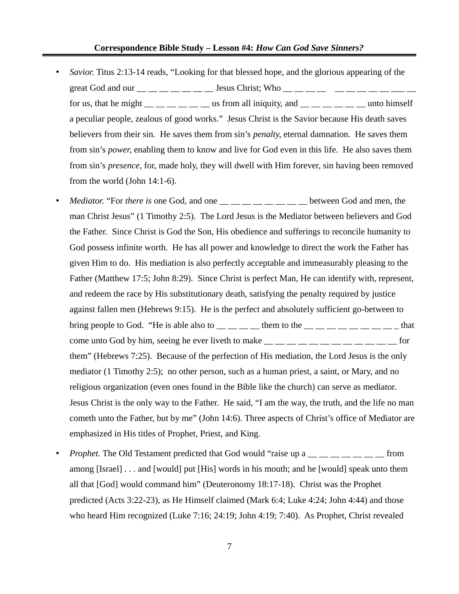- *Savior.* Titus 2:13-14 reads, "Looking for that blessed hope, and the glorious appearing of the great God and our  $\frac{1}{\sqrt{2}}$   $\frac{1}{\sqrt{2}}$   $\frac{1}{\sqrt{2}}$  Jesus Christ; Who  $\frac{1}{\sqrt{2}}$   $\frac{1}{\sqrt{2}}$   $\frac{1}{\sqrt{2}}$   $\frac{1}{\sqrt{2}}$   $\frac{1}{\sqrt{2}}$   $\frac{1}{\sqrt{2}}$   $\frac{1}{\sqrt{2}}$   $\frac{1}{\sqrt{2}}$   $\frac{1}{\sqrt{2}}$   $\frac{1}{\sqrt{2}}$   $\frac{1}{\sqrt{2}}$   $\frac$ for us, that he might  $\qquad \qquad$  us from all iniquity, and  $\qquad \qquad$  unto himself a peculiar people, zealous of good works." Jesus Christ is the Savior because His death saves believers from their sin. He saves them from sin's *penalty*, eternal damnation. He saves them from sin's *power*, enabling them to know and live for God even in this life. He also saves them from sin's *presence*, for, made holy, they will dwell with Him forever, sin having been removed from the world (John 14:1-6).
- *Mediator.* "For *there is* one God, and one  $\frac{m}{m}$  \_\_ \_ \_ \_ \_ \_ \_ between God and men, the man Christ Jesus" (1 Timothy 2:5). The Lord Jesus is the Mediator between believers and God the Father. Since Christ is God the Son, His obedience and sufferings to reconcile humanity to God possess infinite worth. He has all power and knowledge to direct the work the Father has given Him to do. His mediation is also perfectly acceptable and immeasurably pleasing to the Father (Matthew 17:5; John 8:29). Since Christ is perfect Man, He can identify with, represent, and redeem the race by His substitutionary death, satisfying the penalty required by justice against fallen men (Hebrews 9:15). He is the perfect and absolutely sufficient go-between to bring people to God. "He is able also to  $\_\_\_\_\_\_\_\$ them to the  $\_\_\_\_\_\_\_\_\_\_\_\_\_\_\_\_\_$ come unto God by him, seeing he ever liveth to make  $\frac{1}{1}$   $\frac{1}{1}$   $\frac{1}{1}$   $\frac{1}{1}$   $\frac{1}{1}$   $\frac{1}{1}$   $\frac{1}{1}$   $\frac{1}{1}$   $\frac{1}{1}$   $\frac{1}{1}$   $\frac{1}{1}$   $\frac{1}{1}$   $\frac{1}{1}$   $\frac{1}{1}$   $\frac{1}{1}$   $\frac{1}{1}$   $\frac{1}{1}$ them" (Hebrews 7:25). Because of the perfection of His mediation, the Lord Jesus is the only mediator (1 Timothy 2:5); no other person, such as a human priest, a saint, or Mary, and no religious organization (even ones found in the Bible like the church) can serve as mediator. Jesus Christ is the only way to the Father. He said, "I am the way, the truth, and the life no man cometh unto the Father, but by me" (John 14:6). Three aspects of Christ's office of Mediator are emphasized in His titles of Prophet, Priest, and King.
- *Prophet*. The Old Testament predicted that God would "raise up a \_\_ \_ \_ \_ \_ \_ \_ \_ from among [Israel] . . . and [would] put [His] words in his mouth; and he [would] speak unto them all that [God] would command him" (Deuteronomy 18:17-18). Christ was the Prophet predicted (Acts 3:22-23), as He Himself claimed (Mark 6:4; Luke 4:24; John 4:44) and those who heard Him recognized (Luke 7:16; 24:19; John 4:19; 7:40). As Prophet, Christ revealed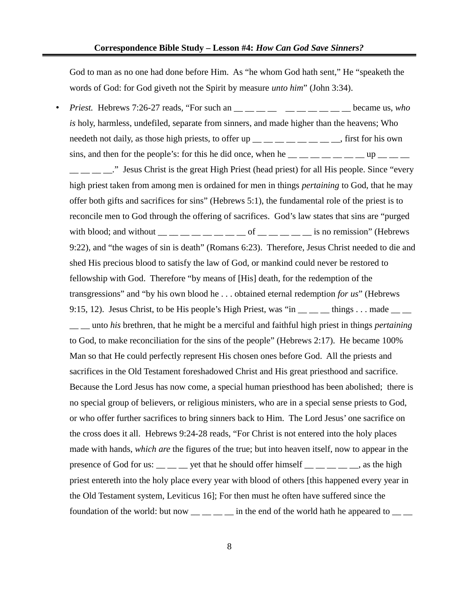God to man as no one had done before Him. As "he whom God hath sent," He "speaketh the words of God: for God giveth not the Spirit by measure *unto him*" (John 3:34).

• Priest. Hebrews 7:26-27 reads, "For such an \_\_ \_ \_ \_ \_ \_ \_ \_ \_ \_ \_ \_ became us, *who is* holy, harmless, undefiled, separate from sinners, and made higher than the heavens; Who needeth not daily, as those high priests, to offer up  $\frac{m}{m}$   $\frac{m}{m}$   $\frac{m}{m}$   $\frac{m}{m}$ , first for his own sins, and then for the people's: for this he did once, when he  $\frac{1}{1}$   $\frac{1}{1}$   $\frac{1}{1}$   $\frac{1}{1}$   $\frac{1}{1}$   $\frac{1}{1}$   $\frac{1}{1}$   $\frac{1}{1}$   $\frac{1}{1}$   $\frac{1}{1}$   $\frac{1}{1}$   $\frac{1}{1}$   $\frac{1}{1}$   $\frac{1}{1}$   $\frac{1}{1}$   $\frac{1}{1}$ 

." Jesus Christ is the great High Priest (head priest) for all His people. Since "every". high priest taken from among men is ordained for men in things *pertaining* to God, that he may offer both gifts and sacrifices for sins" (Hebrews 5:1), the fundamental role of the priest is to reconcile men to God through the offering of sacrifices. God's law states that sins are "purged with blood; and without  $\qquad \qquad \qquad \qquad \qquad \qquad \qquad \qquad$  of  $\qquad \qquad \qquad \qquad \qquad$  is no remission" (Hebrews 9:22), and "the wages of sin is death" (Romans 6:23). Therefore, Jesus Christ needed to die and shed His precious blood to satisfy the law of God, or mankind could never be restored to fellowship with God. Therefore "by means of [His] death, for the redemption of the transgressions" and "by his own blood he . . . obtained eternal redemption *for us*" (Hebrews 9:15, 12). Jesus Christ, to be His people's High Priest, was "in  $\_\_\_\_\_$  things . . . made  $\_\_\_\_\$ \_\_ \_\_ unto *his* brethren, that he might be a merciful and faithful high priest in things *pertaining* to God, to make reconciliation for the sins of the people" (Hebrews 2:17). He became 100% Man so that He could perfectly represent His chosen ones before God. All the priests and sacrifices in the Old Testament foreshadowed Christ and His great priesthood and sacrifice. Because the Lord Jesus has now come, a special human priesthood has been abolished; there is no special group of believers, or religious ministers, who are in a special sense priests to God, or who offer further sacrifices to bring sinners back to Him. The Lord Jesus' one sacrifice on the cross does it all. Hebrews 9:24-28 reads, "For Christ is not entered into the holy places made with hands, *which are* the figures of the true; but into heaven itself, now to appear in the presence of God for us:  $\frac{1}{\sqrt{2}}$  yet that he should offer himself  $\frac{1}{\sqrt{2}}$   $\frac{1}{\sqrt{2}}$  as the high priest entereth into the holy place every year with blood of others [this happened every year in the Old Testament system, Leviticus 16]; For then must he often have suffered since the foundation of the world: but now  $\frac{1}{\sqrt{2}}$  in the end of the world hath he appeared to  $\frac{1}{\sqrt{2}}$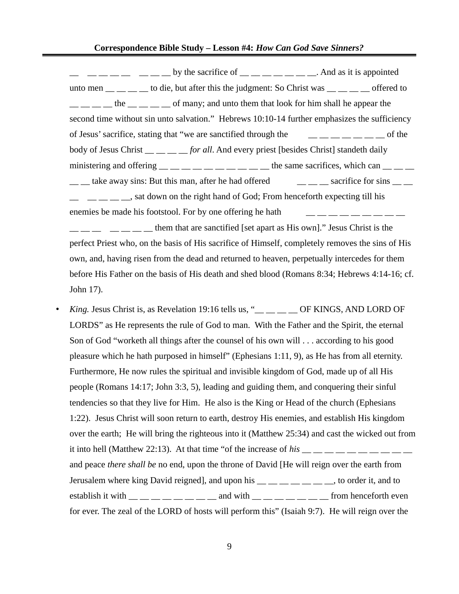$\begin{array}{cccc} \begin{array}{cccc} \text{---} & \text{---} & \text{---} & \text{--} \\ \text{---} & \text{---} & \text{---} & \text{---} \end{array} \end{array}$  by the sacrifice of  $\begin{array}{cccc} \text{---} & \text{---} & \text{---} & \text{---} \end{array}$ . And as it is appointed unto men  $\frac{1}{\sqrt{1-\frac{1}{n}}}$  to die, but after this the judgment: So Christ was  $\frac{1}{\sqrt{1-\frac{1}{n}}}$  offered to  $\frac{1}{1}$   $\frac{1}{1}$   $\frac{1}{1}$  the  $\frac{1}{1}$   $\frac{1}{1}$  of many; and unto them that look for him shall he appear the second time without sin unto salvation." Hebrews 10:10-14 further emphasizes the sufficiency of Jesus' sacrifice, stating that "we are sanctified through the \_\_ \_\_ \_\_ \_\_ \_\_ \_\_ \_\_ of the body of Jesus Christ \_\_ \_\_ \_\_ \_\_ *for all*. And every priest [besides Christ] standeth daily ministering and offering **the same sacrifices**, which can  $\alpha$  $\frac{1}{2}$  take away sins: But this man, after he had offered  $\frac{1}{2}$  sacrifice for sins  $\frac{1}{2}$  $\frac{1}{1}$   $\frac{1}{1}$   $\frac{1}{1}$   $\frac{1}{1}$   $\frac{1}{1}$  sat down on the right hand of God; From henceforth expecting till his enemies be made his footstool. For by one offering he hath

 $\frac{1}{1}$   $\frac{1}{1}$   $\frac{1}{1}$  them that are sanctified [set apart as His own]." Jesus Christ is the perfect Priest who, on the basis of His sacrifice of Himself, completely removes the sins of His own, and, having risen from the dead and returned to heaven, perpetually intercedes for them before His Father on the basis of His death and shed blood (Romans 8:34; Hebrews 4:14-16; cf. John 17).

*King. Jesus Christ is, as Revelation 19:16 tells us, "*<sub>\_\_\_</sub> \_\_ \_\_ OF KINGS, AND LORD OF LORDS" as He represents the rule of God to man. With the Father and the Spirit, the eternal Son of God "worketh all things after the counsel of his own will . . . according to his good pleasure which he hath purposed in himself" (Ephesians 1:11, 9), as He has from all eternity. Furthermore, He now rules the spiritual and invisible kingdom of God, made up of all His people (Romans 14:17; John 3:3, 5), leading and guiding them, and conquering their sinful tendencies so that they live for Him. He also is the King or Head of the church (Ephesians 1:22). Jesus Christ will soon return to earth, destroy His enemies, and establish His kingdom over the earth; He will bring the righteous into it (Matthew 25:34) and cast the wicked out from it into hell (Matthew 22:13). At that time "of the increase of  $his$   $\_\_$   $\_\_$   $\_\_$   $\_\_$   $\_\_$ and peace *there shall be* no end, upon the throne of David [He will reign over the earth from Jerusalem where king David reigned], and upon his  $\frac{m}{m}$   $\frac{m}{m}$   $\frac{m}{m}$   $\frac{m}{m}$ , to order it, and to establish it with  $\frac{1}{\sqrt{1-\frac{1}{n}}}$   $\frac{1}{\sqrt{1-\frac{1}{n}}}$  and with  $\frac{1}{\sqrt{1-\frac{1}{n}}}$   $\frac{1}{\sqrt{1-\frac{1}{n}}}$  from henceforth even for ever. The zeal of the LORD of hosts will perform this" (Isaiah 9:7). He will reign over the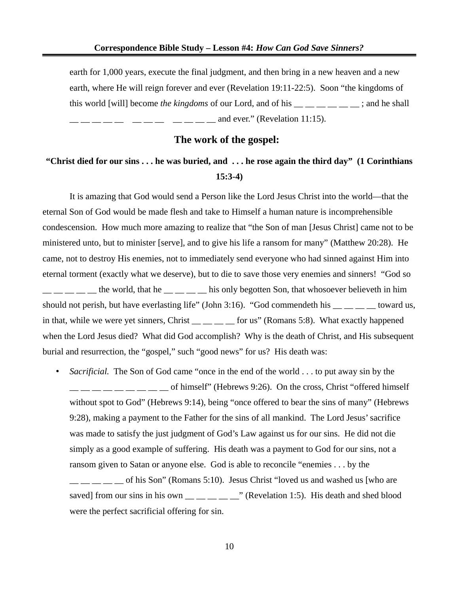earth for 1,000 years, execute the final judgment, and then bring in a new heaven and a new earth, where He will reign forever and ever (Revelation 19:11-22:5). Soon "the kingdoms of this world [will] become *the kingdoms* of our Lord, and of his \_\_ \_\_ \_\_ \_\_ \_\_ \_\_ ; and he shall  $\frac{1}{1}$   $\frac{1}{1}$   $\frac{1}{1}$   $\frac{1}{1}$   $\frac{1}{1}$   $\frac{1}{1}$   $\frac{1}{1}$   $\frac{1}{1}$   $\frac{1}{1}$   $\frac{1}{1}$   $\frac{1}{1}$   $\frac{1}{1}$   $\frac{1}{1}$   $\frac{1}{1}$   $\frac{1}{1}$   $\frac{1}{1}$   $\frac{1}{1}$   $\frac{1}{1}$   $\frac{1}{1}$   $\frac{1}{1}$   $\frac{1}{1}$   $\frac{1}{1}$ 

#### **The work of the gospel:**

## **"Christ died for our sins . . . he was buried, and . . . he rose again the third day" (1 Corinthians 15:3-4)**

It is amazing that God would send a Person like the Lord Jesus Christ into the world—that the eternal Son of God would be made flesh and take to Himself a human nature is incomprehensible condescension. How much more amazing to realize that "the Son of man [Jesus Christ] came not to be ministered unto, but to minister [serve], and to give his life a ransom for many" (Matthew 20:28). He came, not to destroy His enemies, not to immediately send everyone who had sinned against Him into eternal torment (exactly what we deserve), but to die to save those very enemies and sinners! "God so  $\frac{1}{2}$  \_  $\frac{1}{2}$  the world, that he  $\frac{1}{2}$  \_ \_ \_ \_ his only begotten Son, that whosoever believeth in him should not perish, but have everlasting life" (John 3:16). "God commendeth his  $\_\_\_\_$   $\_\_\_$  toward us, in that, while we were yet sinners, Christ \_\_ \_ \_ \_ \_ for us" (Romans 5:8). What exactly happened when the Lord Jesus died? What did God accomplish? Why is the death of Christ, and His subsequent burial and resurrection, the "gospel," such "good news" for us? His death was:

• *Sacrificial.* The Son of God came "once in the end of the world . . . to put away sin by the  $\frac{1}{1}$   $\frac{1}{1}$   $\frac{1}{1}$   $\frac{1}{1}$   $\frac{1}{1}$  of himself" (Hebrews 9:26). On the cross, Christ "offered himself without spot to God" (Hebrews 9:14), being "once offered to bear the sins of many" (Hebrews 9:28), making a payment to the Father for the sins of all mankind. The Lord Jesus' sacrifice was made to satisfy the just judgment of God's Law against us for our sins. He did not die simply as a good example of suffering. His death was a payment to God for our sins, not a ransom given to Satan or anyone else. God is able to reconcile "enemies . . . by the

 $\Box$  \_\_ \_\_ of his Son" (Romans 5:10). Jesus Christ "loved us and washed us [who are saved] from our sins in his own  $\frac{1}{2}$   $\frac{1}{2}$  (Revelation 1:5). His death and shed blood were the perfect sacrificial offering for sin.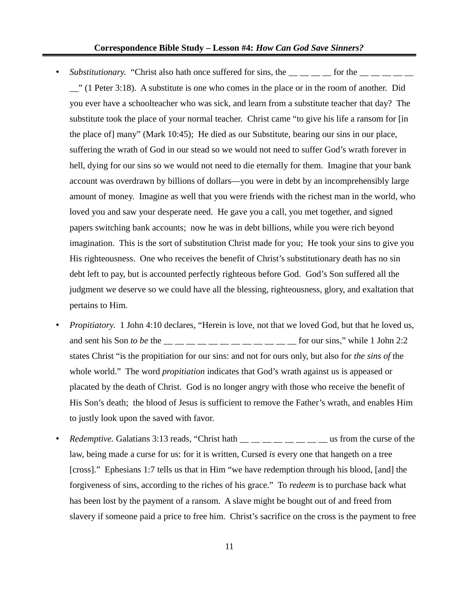- *Substitutionary.* "Christ also hath once suffered for sins, the  $\_\_$   $\_\_$  for the  $\_\_$   $\_\_$ \_\_" (1 Peter 3:18). A substitute is one who comes in the place or in the room of another. Did you ever have a schoolteacher who was sick, and learn from a substitute teacher that day? The substitute took the place of your normal teacher. Christ came "to give his life a ransom for [in the place of] many" (Mark 10:45); He died as our Substitute, bearing our sins in our place, suffering the wrath of God in our stead so we would not need to suffer God's wrath forever in hell, dying for our sins so we would not need to die eternally for them. Imagine that your bank account was overdrawn by billions of dollars—you were in debt by an incomprehensibly large amount of money. Imagine as well that you were friends with the richest man in the world, who loved you and saw your desperate need. He gave you a call, you met together, and signed papers switching bank accounts; now he was in debt billions, while you were rich beyond imagination. This is the sort of substitution Christ made for you; He took your sins to give you His righteousness. One who receives the benefit of Christ's substitutionary death has no sin debt left to pay, but is accounted perfectly righteous before God. God's Son suffered all the judgment we deserve so we could have all the blessing, righteousness, glory, and exaltation that pertains to Him.
- *Propitiatory*. 1 John 4:10 declares, "Herein is love, not that we loved God, but that he loved us, and sent his Son *to be* the \_\_ \_\_ \_\_ \_\_ \_\_ \_\_ \_\_ \_\_ \_\_ \_\_ \_\_ \_\_ for our sins," while 1 John 2:2 states Christ "is the propitiation for our sins: and not for ours only, but also for *the sins of* the whole world." The word *propitiation* indicates that God's wrath against us is appeased or placated by the death of Christ. God is no longer angry with those who receive the benefit of His Son's death; the blood of Jesus is sufficient to remove the Father's wrath, and enables Him to justly look upon the saved with favor.
- *Redemptive.* Galatians 3:13 reads, "Christ hath  $\frac{1}{1}$   $\frac{1}{1}$   $\frac{1}{1}$   $\frac{1}{1}$   $\frac{1}{1}$   $\frac{1}{1}$   $\frac{1}{1}$   $\frac{1}{1}$   $\frac{1}{1}$   $\frac{1}{1}$   $\frac{1}{1}$   $\frac{1}{1}$   $\frac{1}{1}$   $\frac{1}{1}$   $\frac{1}{1}$   $\frac{1}{1}$   $\frac{1}{1}$  law, being made a curse for us: for it is written, Cursed *is* every one that hangeth on a tree [cross]." Ephesians 1:7 tells us that in Him "we have redemption through his blood, [and] the forgiveness of sins, according to the riches of his grace." To *redeem* is to purchase back what has been lost by the payment of a ransom. A slave might be bought out of and freed from slavery if someone paid a price to free him. Christ's sacrifice on the cross is the payment to free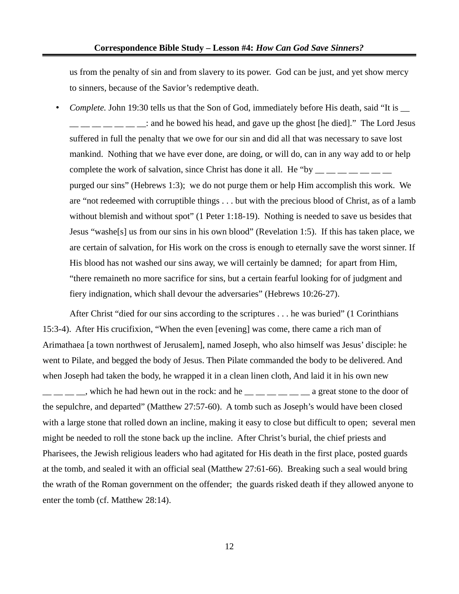us from the penalty of sin and from slavery to its power. God can be just, and yet show mercy to sinners, because of the Savior's redemptive death.

• *Complete.* John 19:30 tells us that the Son of God, immediately before His death, said "It is \_\_  $\frac{1}{1}$   $\frac{1}{1}$   $\frac{1}{1}$   $\frac{1}{1}$  and he bowed his head, and gave up the ghost [he died]." The Lord Jesus suffered in full the penalty that we owe for our sin and did all that was necessary to save lost mankind. Nothing that we have ever done, are doing, or will do, can in any way add to or help complete the work of salvation, since Christ has done it all. He "by purged our sins" (Hebrews 1:3); we do not purge them or help Him accomplish this work. We are "not redeemed with corruptible things . . . but with the precious blood of Christ, as of a lamb without blemish and without spot" (1 Peter 1:18-19). Nothing is needed to save us besides that Jesus "washe[s] us from our sins in his own blood" (Revelation 1:5). If this has taken place, we are certain of salvation, for His work on the cross is enough to eternally save the worst sinner. If His blood has not washed our sins away, we will certainly be damned; for apart from Him, "there remaineth no more sacrifice for sins, but a certain fearful looking for of judgment and fiery indignation, which shall devour the adversaries" (Hebrews 10:26-27).

After Christ "died for our sins according to the scriptures . . . he was buried" (1 Corinthians 15:3-4). After His crucifixion, "When the even [evening] was come, there came a rich man of Arimathaea [a town northwest of Jerusalem], named Joseph, who also himself was Jesus' disciple: he went to Pilate, and begged the body of Jesus. Then Pilate commanded the body to be delivered. And when Joseph had taken the body, he wrapped it in a clean linen cloth, And laid it in his own new  $\_\_\_\_\_\_\_\_\$ n which he had hewn out in the rock: and he  $\_\_\_\_\_\_\_\_\_\_\_\$ a great stone to the door of the sepulchre, and departed" (Matthew 27:57-60). A tomb such as Joseph's would have been closed with a large stone that rolled down an incline, making it easy to close but difficult to open; several men might be needed to roll the stone back up the incline. After Christ's burial, the chief priests and Pharisees, the Jewish religious leaders who had agitated for His death in the first place, posted guards at the tomb, and sealed it with an official seal (Matthew 27:61-66). Breaking such a seal would bring the wrath of the Roman government on the offender; the guards risked death if they allowed anyone to enter the tomb (cf. Matthew 28:14).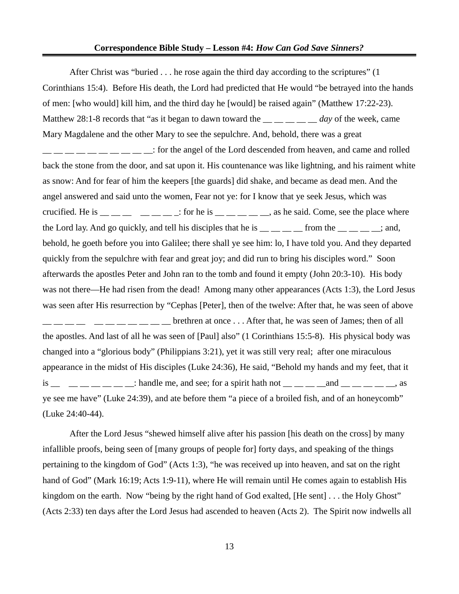After Christ was "buried . . . he rose again the third day according to the scriptures" (1 Corinthians 15:4). Before His death, the Lord had predicted that He would "be betrayed into the hands of men: [who would] kill him, and the third day he [would] be raised again" (Matthew 17:22-23). Matthew 28:1-8 records that "as it began to dawn toward the  $\frac{1}{1}$  \_\_ \_ \_ \_ *day* of the week, came Mary Magdalene and the other Mary to see the sepulchre. And, behold, there was a great  $\frac{1}{1}$   $\frac{1}{1}$   $\frac{1}{1}$   $\frac{1}{1}$   $\frac{1}{1}$   $\frac{1}{1}$   $\frac{1}{1}$  is order the Lord descended from heaven, and came and rolled back the stone from the door, and sat upon it. His countenance was like lightning, and his raiment white as snow: And for fear of him the keepers [the guards] did shake, and became as dead men. And the angel answered and said unto the women, Fear not ye: for I know that ye seek Jesus, which was crucified. He is  $\frac{1}{1}$   $\frac{1}{1}$   $\frac{1}{1}$   $\frac{1}{1}$   $\frac{1}{1}$   $\frac{1}{1}$   $\frac{1}{1}$   $\frac{1}{1}$   $\frac{1}{1}$   $\frac{1}{1}$   $\frac{1}{1}$   $\frac{1}{1}$   $\frac{1}{1}$   $\frac{1}{1}$   $\frac{1}{1}$   $\frac{1}{1}$   $\frac{1}{1}$   $\frac{1}{1}$   $\frac{1}{1}$   $\frac{1}{1}$   $\frac{$ the Lord lay. And go quickly, and tell his disciples that he is  $\frac{1}{1}$  \_\_ \_\_ \_\_ from the  $\frac{1}{1}$  \_\_ \_\_ \_; and, behold, he goeth before you into Galilee; there shall ye see him: lo, I have told you. And they departed quickly from the sepulchre with fear and great joy; and did run to bring his disciples word." Soon afterwards the apostles Peter and John ran to the tomb and found it empty (John 20:3-10). His body was not there—He had risen from the dead! Among many other appearances (Acts 1:3), the Lord Jesus was seen after His resurrection by "Cephas [Peter], then of the twelve: After that, he was seen of above  $\frac{1}{1-\frac{1}{1-\frac{1}{1-\frac{1}{1-\frac{1}{1-\frac{1}{1-\frac{1}{1-\frac{1}{1-\frac{1}{1-\frac{1}{1-\frac{1}{1-\frac{1}{1-\frac{1}{1-\frac{1}{1-\frac{1}{1-\frac{1}{1-\frac{1}{1-\frac{1}{1-\frac{1}{1-\frac{1}{1-\frac{1}{1-\frac{1}{1-\frac{1}{1-\frac{1}{1-\frac{1}{1-\frac{1}{1-\frac{1}{1-\frac{1}{1-\frac{1}{1-\frac{1}{1-\frac{1}{1-\frac{1}{1-\frac{1}{1-\frac{1}{1-\frac{1}{1-\frac{1}{1-\frac{1$ the apostles. And last of all he was seen of [Paul] also" (1 Corinthians 15:5-8). His physical body was changed into a "glorious body" (Philippians 3:21), yet it was still very real; after one miraculous appearance in the midst of His disciples (Luke 24:36), He said, "Behold my hands and my feet, that it is  $\frac{1}{\sqrt{1-\frac{1}{2}}}\dots$   $\frac{1}{\sqrt{1-\frac{1}{2}}}$  handle me, and see; for a spirit hath not  $\frac{1}{\sqrt{1-\frac{1}{2}}}\dots$  and  $\frac{1}{\sqrt{1-\frac{1}{2}}}\dots$  as ye see me have" (Luke 24:39), and ate before them "a piece of a broiled fish, and of an honeycomb" (Luke 24:40-44).

After the Lord Jesus "shewed himself alive after his passion [his death on the cross] by many infallible proofs, being seen of [many groups of people for] forty days, and speaking of the things pertaining to the kingdom of God" (Acts 1:3), "he was received up into heaven, and sat on the right hand of God" (Mark 16:19; Acts 1:9-11), where He will remain until He comes again to establish His kingdom on the earth. Now "being by the right hand of God exalted, [He sent] . . . the Holy Ghost" (Acts 2:33) ten days after the Lord Jesus had ascended to heaven (Acts 2). The Spirit now indwells all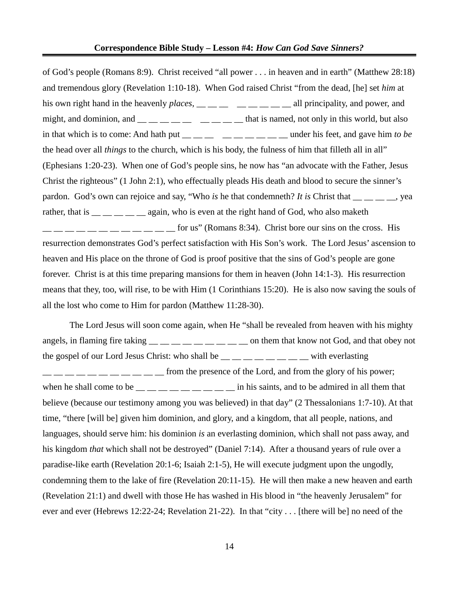of God's people (Romans 8:9). Christ received "all power . . . in heaven and in earth" (Matthew 28:18) and tremendous glory (Revelation 1:10-18). When God raised Christ "from the dead, [he] set *him* at his own right hand in the heavenly *places*, \_\_ \_\_ \_\_ \_\_ \_\_ \_\_ \_\_ all principality, and power, and might, and dominion, and  $\_\_\_\_\_\_\_\_\_\_\_\_$   $\_\_\_\_\_\_\_$  that is named, not only in this world, but also in that which is to come: And hath put  $\frac{m}{m}$   $\frac{m}{m}$   $\frac{m}{m}$   $\frac{m}{m}$   $\frac{m}{m}$  under his feet, and gave him *to be* the head over all *things* to the church, which is his body, the fulness of him that filleth all in all" (Ephesians 1:20-23). When one of God's people sins, he now has "an advocate with the Father, Jesus Christ the righteous" (1 John 2:1), who effectually pleads His death and blood to secure the sinner's pardon. God's own can rejoice and say, "Who *is* he that condemneth? *It is* Christ that \_\_ \_ \_ \_ \_, yea rather, that is  $\frac{1}{1}$   $\frac{1}{1}$   $\frac{1}{1}$   $\frac{1}{1}$  again, who is even at the right hand of God, who also maketh  $\frac{1}{2}$   $\frac{1}{2}$   $\frac{1}{2}$   $\frac{1}{2}$   $\frac{1}{2}$  for us" (Romans 8:34). Christ bore our sins on the cross. His resurrection demonstrates God's perfect satisfaction with His Son's work. The Lord Jesus' ascension to heaven and His place on the throne of God is proof positive that the sins of God's people are gone forever. Christ is at this time preparing mansions for them in heaven (John 14:1-3). His resurrection means that they, too, will rise, to be with Him (1 Corinthians 15:20). He is also now saving the souls of all the lost who come to Him for pardon (Matthew 11:28-30).

The Lord Jesus will soon come again, when He "shall be revealed from heaven with his mighty angels, in flaming fire taking  $\frac{m}{m}$   $\frac{m}{m}$   $\frac{m}{m}$   $\frac{m}{m}$   $\frac{m}{m}$  on them that know not God, and that obey not the gospel of our Lord Jesus Christ: who shall be  $\_\_\_\_\_\_\_\_\_\_\_\_\_\_$  with everlasting  $\frac{1}{2}$   $\frac{1}{2}$   $\frac{1}{2}$   $\frac{1}{2}$   $\frac{1}{2}$  from the presence of the Lord, and from the glory of his power; when he shall come to be  $\frac{m}{m}$   $\frac{m}{m}$   $\frac{m}{m}$   $\frac{m}{m}$  in his saints, and to be admired in all them that believe (because our testimony among you was believed) in that day" (2 Thessalonians 1:7-10). At that time, "there [will be] given him dominion, and glory, and a kingdom, that all people, nations, and languages, should serve him: his dominion *is* an everlasting dominion, which shall not pass away, and his kingdom *that* which shall not be destroyed" (Daniel 7:14). After a thousand years of rule over a paradise-like earth (Revelation 20:1-6; Isaiah 2:1-5), He will execute judgment upon the ungodly, condemning them to the lake of fire (Revelation 20:11-15). He will then make a new heaven and earth (Revelation 21:1) and dwell with those He has washed in His blood in "the heavenly Jerusalem" for ever and ever (Hebrews 12:22-24; Revelation 21-22). In that "city . . . [there will be] no need of the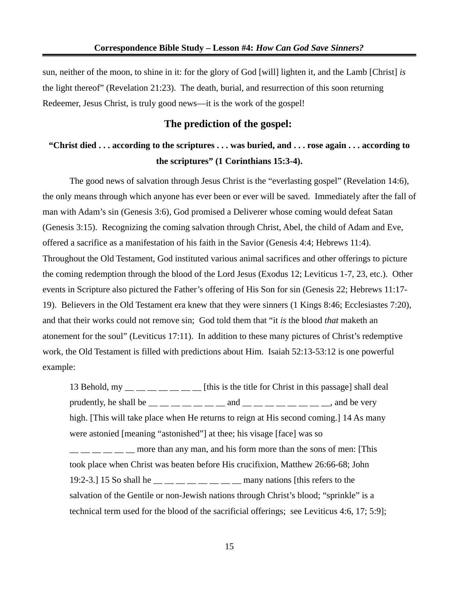sun, neither of the moon, to shine in it: for the glory of God [will] lighten it, and the Lamb [Christ] *is* the light thereof" (Revelation 21:23). The death, burial, and resurrection of this soon returning Redeemer, Jesus Christ, is truly good news—it is the work of the gospel!

## **The prediction of the gospel:**

## **"Christ died . . . according to the scriptures . . . was buried, and . . . rose again . . . according to the scriptures" (1 Corinthians 15:3-4).**

The good news of salvation through Jesus Christ is the "everlasting gospel" (Revelation 14:6), the only means through which anyone has ever been or ever will be saved. Immediately after the fall of man with Adam's sin (Genesis 3:6), God promised a Deliverer whose coming would defeat Satan (Genesis 3:15). Recognizing the coming salvation through Christ, Abel, the child of Adam and Eve, offered a sacrifice as a manifestation of his faith in the Savior (Genesis 4:4; Hebrews 11:4). Throughout the Old Testament, God instituted various animal sacrifices and other offerings to picture the coming redemption through the blood of the Lord Jesus (Exodus 12; Leviticus 1-7, 23, etc.). Other events in Scripture also pictured the Father's offering of His Son for sin (Genesis 22; Hebrews 11:17- 19). Believers in the Old Testament era knew that they were sinners (1 Kings 8:46; Ecclesiastes 7:20), and that their works could not remove sin; God told them that "it *is* the blood *that* maketh an atonement for the soul" (Leviticus 17:11). In addition to these many pictures of Christ's redemptive work, the Old Testament is filled with predictions about Him. Isaiah 52:13-53:12 is one powerful example:

13 Behold, my  $\frac{1}{\sqrt{2}}$   $\frac{1}{\sqrt{2}}$   $\frac{1}{\sqrt{2}}$  [this is the title for Christ in this passage] shall deal prudently, he shall be  $\_\_\_\_\_\_\_\_\_\_$  and  $\_\_\_\_\_\_\_\_\_\_\_\_$  and be very high. [This will take place when He returns to reign at His second coming.] 14 As many were astonied [meaning "astonished"] at thee; his visage [face] was so \_\_ \_\_ \_\_ \_\_ \_\_ \_\_ more than any man, and his form more than the sons of men: [This took place when Christ was beaten before His crucifixion, Matthew 26:66-68; John

19:2-3.] 15 So shall he  $\_\_$   $\_\_$   $\_\_$   $\_\_$  many nations [this refers to the salvation of the Gentile or non-Jewish nations through Christ's blood; "sprinkle" is a technical term used for the blood of the sacrificial offerings; see Leviticus 4:6, 17; 5:9];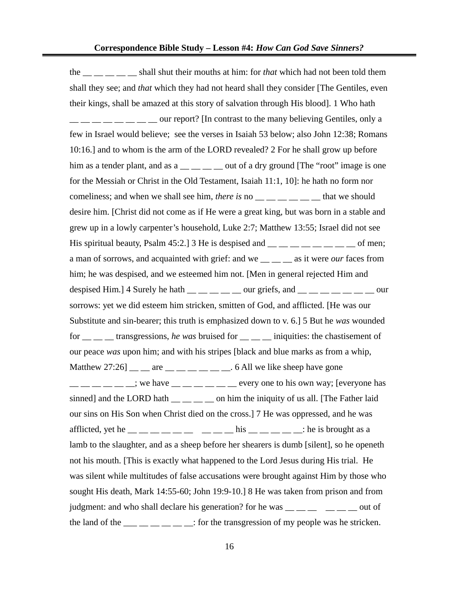the \_\_ \_\_ \_\_ \_\_ \_\_ shall shut their mouths at him: for *that* which had not been told them shall they see; and *that* which they had not heard shall they consider [The Gentiles, even their kings, shall be amazed at this story of salvation through His blood]. 1 Who hath  $\frac{1}{1}$   $\frac{1}{1}$   $\frac{1}{1}$   $\frac{1}{1}$   $\frac{1}{1}$   $\frac{1}{1}$   $\frac{1}{1}$   $\frac{1}{1}$   $\frac{1}{1}$   $\frac{1}{1}$   $\frac{1}{1}$   $\frac{1}{1}$   $\frac{1}{1}$   $\frac{1}{1}$   $\frac{1}{1}$   $\frac{1}{1}$   $\frac{1}{1}$   $\frac{1}{1}$   $\frac{1}{1}$   $\frac{1}{1}$   $\frac{1}{1}$   $\frac{1}{1}$  few in Israel would believe; see the verses in Isaiah 53 below; also John 12:38; Romans 10:16.] and to whom is the arm of the LORD revealed? 2 For he shall grow up before him as a tender plant, and as a  $\frac{1}{\sqrt{2}}$  out of a dry ground [The "root" image is one for the Messiah or Christ in the Old Testament, Isaiah 11:1, 10]: he hath no form nor comeliness; and when we shall see him, *there is* no \_\_ \_ \_ \_ \_ \_ \_ that we should desire him. [Christ did not come as if He were a great king, but was born in a stable and grew up in a lowly carpenter's household, Luke 2:7; Matthew 13:55; Israel did not see His spiritual beauty, Psalm 45:2.] 3 He is despised and  $\frac{1}{\frac{1}{2}}$  \_\_ \_ \_ \_ \_ \_ \_ \_ of men; a man of sorrows, and acquainted with grief: and we \_\_ \_\_ \_\_ as it were *our* faces from him; he was despised, and we esteemed him not. [Men in general rejected Him and despised Him.] 4 Surely he hath  $\_\_\_\_\_\_\_\_\_\_$  our griefs, and  $\_\_\_\_\_\_\_\_\_\_\_\_$ sorrows: yet we did esteem him stricken, smitten of God, and afflicted. [He was our Substitute and sin-bearer; this truth is emphasized down to v. 6.] 5 But he *was* wounded for \_\_ \_\_ \_\_ transgressions, *he was* bruised for \_\_ \_\_ \_\_ iniquities: the chastisement of our peace *was* upon him; and with his stripes [black and blue marks as from a whip, Matthew 27:26]  $\frac{m}{m}$  are  $\frac{m}{m}$   $\frac{m}{m}$   $\frac{m}{m}$   $\frac{m}{m}$ . 6 All we like sheep have gone  $\frac{1}{1}$   $\frac{1}{1}$   $\frac{1}{1}$   $\frac{1}{1}$   $\frac{1}{1}$   $\frac{1}{1}$   $\frac{1}{1}$   $\frac{1}{1}$   $\frac{1}{1}$   $\frac{1}{1}$   $\frac{1}{1}$   $\frac{1}{1}$  every one to his own way; [everyone has sinned] and the LORD hath  $\_\_\_\_\_\_\_$  on him the iniquity of us all. [The Father laid our sins on His Son when Christ died on the cross.] 7 He was oppressed, and he was afflicted, yet he  $\frac{1}{1}$  \_\_ \_ \_ \_ \_ \_ \_ \_ \_ \_ his \_ \_ \_ \_ \_ \_ \_ : he is brought as a lamb to the slaughter, and as a sheep before her shearers is dumb [silent], so he openeth not his mouth. [This is exactly what happened to the Lord Jesus during His trial. He was silent while multitudes of false accusations were brought against Him by those who sought His death, Mark 14:55-60; John 19:9-10.] 8 He was taken from prison and from judgment: and who shall declare his generation? for he was  $\frac{m}{m}$   $\frac{m}{m}$   $\frac{m}{m}$  out of the land of the  $\frac{1}{\frac{1}{\sqrt{1-\frac{1}{\sqrt{1-\frac{1}{\sqrt{1-\frac{1}{\sqrt{1-\frac{1}{\sqrt{1-\frac{1}{\sqrt{1-\frac{1}{\sqrt{1-\frac{1}{\sqrt{1-\frac{1}{\sqrt{1-\frac{1}{\sqrt{1-\frac{1}{\sqrt{1-\frac{1}{\sqrt{1-\frac{1}{\sqrt{1-\frac{1}{\sqrt{1-\frac{1}{\sqrt{1-\frac{1}{\sqrt{1-\frac{1}{\sqrt{1-\frac{1}{\sqrt{1-\frac{1}{\sqrt{1-\frac{1}{\sqrt{1-\frac{1}{\sqrt{1-\frac{1}{\sqrt{1-\$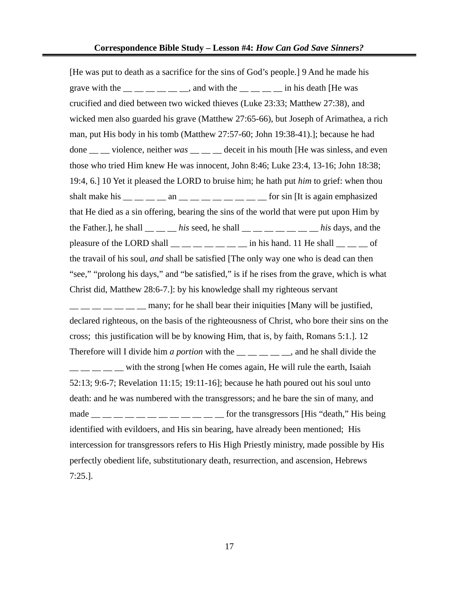[He was put to death as a sacrifice for the sins of God's people.] 9 And he made his grave with the  $\frac{1}{\sqrt{2}}$   $\frac{1}{\sqrt{2}}$  and with the  $\frac{1}{\sqrt{2}}$  in his death [He was crucified and died between two wicked thieves (Luke 23:33; Matthew 27:38), and wicked men also guarded his grave (Matthew 27:65-66), but Joseph of Arimathea, a rich man, put His body in his tomb (Matthew 27:57-60; John 19:38-41).]; because he had done \_\_ \_\_ violence, neither *was* \_\_ \_\_ \_\_ deceit in his mouth [He was sinless, and even those who tried Him knew He was innocent, John 8:46; Luke 23:4, 13-16; John 18:38; 19:4, 6.] 10 Yet it pleased the LORD to bruise him; he hath put *him* to grief: when thou shalt make his  $\_\_\_\_\_\_\_$  an  $\_\_\_\_\_\_\_\_\_$   $\_\_\_\_\_\_$  for sin [It is again emphasized that He died as a sin offering, bearing the sins of the world that were put upon Him by the Father.], he shall \_\_ \_\_ \_\_ *his* seed, he shall \_\_ \_\_ \_\_ \_\_ \_\_ \_\_ \_\_ *his* days, and the pleasure of the LORD shall  $\frac{1}{\sqrt{1-\frac{1}{n}}}$  \_\_ \_\_ \_\_ in his hand. 11 He shall \_\_ \_\_ of the travail of his soul, *and* shall be satisfied [The only way one who is dead can then "see," "prolong his days," and "be satisfied," is if he rises from the grave, which is what Christ did, Matthew 28:6-7.]: by his knowledge shall my righteous servant  $\frac{1}{1}$   $\frac{1}{1}$   $\frac{1}{1}$   $\frac{1}{1}$   $\frac{1}{1}$  many; for he shall bear their iniquities [Many will be justified,

declared righteous, on the basis of the righteousness of Christ, who bore their sins on the cross; this justification will be by knowing Him, that is, by faith, Romans 5:1.]. 12 Therefore will I divide him *a portion* with the \_\_ \_ \_ \_ \_ \_, and he shall divide the  $\frac{1}{1}$   $\frac{1}{1}$  with the strong [when He comes again, He will rule the earth, Isaiah 52:13; 9:6-7; Revelation 11:15; 19:11-16]; because he hath poured out his soul unto death: and he was numbered with the transgressors; and he bare the sin of many, and made  $\_\_$   $\_\_$   $\_\_$   $\_\_$   $\_\_$   $\_\_$   $\_\_$   $\_\_$   $\_\_$  for the transgressors [His "death," His being identified with evildoers, and His sin bearing, have already been mentioned; His intercession for transgressors refers to His High Priestly ministry, made possible by His perfectly obedient life, substitutionary death, resurrection, and ascension, Hebrews 7:25.].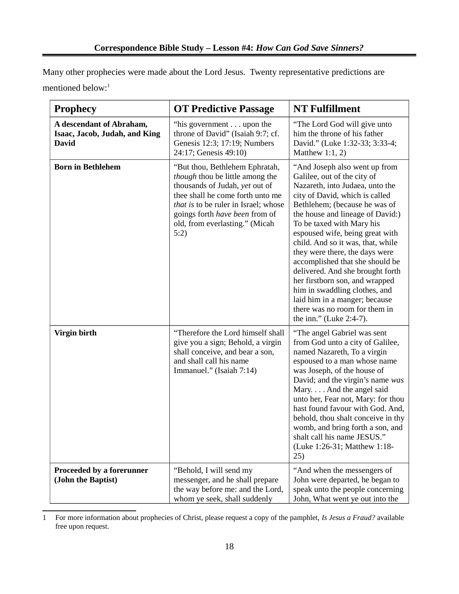Many other prophecies were made about the Lord Jesus. Twenty representative predictions are mentioned below:<sup>[1](#page-17-0)</sup>

| <b>Prophecy</b>                                                           | <b>OT Predictive Passage</b>                                                                                                                                                                                                                                | <b>NT Fulfillment</b>                                                                                                                                                                                                                                                                                                                                                                                                                                                                                                                                                                |  |  |
|---------------------------------------------------------------------------|-------------------------------------------------------------------------------------------------------------------------------------------------------------------------------------------------------------------------------------------------------------|--------------------------------------------------------------------------------------------------------------------------------------------------------------------------------------------------------------------------------------------------------------------------------------------------------------------------------------------------------------------------------------------------------------------------------------------------------------------------------------------------------------------------------------------------------------------------------------|--|--|
| A descendant of Abraham,<br>Isaac, Jacob, Judah, and King<br><b>David</b> | "his government upon the<br>throne of David" (Isaiah 9:7; cf.<br>Genesis 12:3; 17:19; Numbers<br>24:17; Genesis 49:10)                                                                                                                                      | "The Lord God will give unto<br>him the throne of his father<br>David." (Luke 1:32-33; 3:33-4;<br>Matthew 1:1, 2)                                                                                                                                                                                                                                                                                                                                                                                                                                                                    |  |  |
| <b>Born in Bethlehem</b>                                                  | "But thou, Bethlehem Ephratah,<br>though thou be little among the<br>thousands of Judah, yet out of<br>thee shall he come forth unto me<br>that is to be ruler in Israel; whose<br>goings forth have been from of<br>old, from everlasting." (Micah<br>5:2) | "And Joseph also went up from<br>Galilee, out of the city of<br>Nazareth, into Judaea, unto the<br>city of David, which is called<br>Bethlehem; (because he was of<br>the house and lineage of David:)<br>To be taxed with Mary his<br>espoused wife, being great with<br>child. And so it was, that, while<br>they were there, the days were<br>accomplished that she should be<br>delivered. And she brought forth<br>her firstborn son, and wrapped<br>him in swaddling clothes, and<br>laid him in a manger; because<br>there was no room for them in<br>the inn." (Luke 2:4-7). |  |  |
| Virgin birth                                                              | "Therefore the Lord himself shall<br>give you a sign; Behold, a virgin<br>shall conceive, and bear a son,<br>and shall call his name<br>Immanuel." (Isaiah 7:14)                                                                                            | "The angel Gabriel was sent<br>from God unto a city of Galilee,<br>named Nazareth, To a virgin<br>espoused to a man whose name<br>was Joseph, of the house of<br>David; and the virgin's name was<br>Mary. And the angel said<br>unto her, Fear not, Mary: for thou<br>hast found favour with God. And,<br>behold, thou shalt conceive in thy<br>womb, and bring forth a son, and<br>shalt call his name JESUS."<br>(Luke 1:26-31; Matthew 1:18-<br>25)                                                                                                                              |  |  |
| <b>Proceeded by a forerunner</b><br>(John the Baptist)                    | "Behold, I will send my<br>messenger, and he shall prepare<br>the way before me: and the Lord,<br>whom ye seek, shall suddenly                                                                                                                              | "And when the messengers of<br>John were departed, he began to<br>speak unto the people concerning<br>John, What went ye out into the                                                                                                                                                                                                                                                                                                                                                                                                                                                |  |  |

<span id="page-17-0"></span><sup>1</sup> For more information about prophecies of Christ, please request a copy of the pamphlet, *Is Jesus a Fraud?* available free upon request.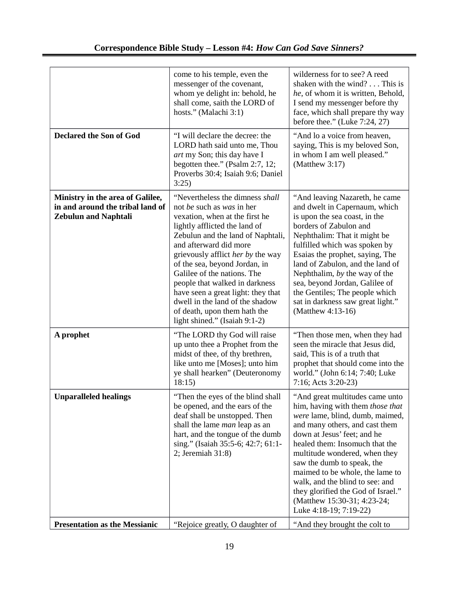|                                                                                                     | come to his temple, even the<br>messenger of the covenant,<br>whom ye delight in: behold, he<br>shall come, saith the LORD of<br>hosts." (Malachi 3:1)                                                                                                                                                                                                                                                                                                                          | wilderness for to see? A reed<br>shaken with the wind? This is<br>he, of whom it is written, Behold,<br>I send my messenger before thy<br>face, which shall prepare thy way<br>before thee." (Luke 7:24, 27)                                                                                                                                                                                                                                  |
|-----------------------------------------------------------------------------------------------------|---------------------------------------------------------------------------------------------------------------------------------------------------------------------------------------------------------------------------------------------------------------------------------------------------------------------------------------------------------------------------------------------------------------------------------------------------------------------------------|-----------------------------------------------------------------------------------------------------------------------------------------------------------------------------------------------------------------------------------------------------------------------------------------------------------------------------------------------------------------------------------------------------------------------------------------------|
| <b>Declared the Son of God</b>                                                                      | "I will declare the decree: the<br>LORD hath said unto me, Thou<br>art my Son; this day have I<br>begotten thee." (Psalm 2:7, 12;<br>Proverbs 30:4; Isaiah 9:6; Daniel<br>3:25)                                                                                                                                                                                                                                                                                                 | "And lo a voice from heaven,<br>saying, This is my beloved Son,<br>in whom I am well pleased."<br>(Matthew $3:17$ )                                                                                                                                                                                                                                                                                                                           |
| Ministry in the area of Galilee,<br>in and around the tribal land of<br><b>Zebulun and Naphtali</b> | "Nevertheless the dimness shall<br>not be such as was in her<br>vexation, when at the first he<br>lightly afflicted the land of<br>Zebulun and the land of Naphtali,<br>and afterward did more<br>grievously afflict her by the way<br>of the sea, beyond Jordan, in<br>Galilee of the nations. The<br>people that walked in darkness<br>have seen a great light: they that<br>dwell in the land of the shadow<br>of death, upon them hath the<br>light shined." (Isaiah 9:1-2) | "And leaving Nazareth, he came<br>and dwelt in Capernaum, which<br>is upon the sea coast, in the<br>borders of Zabulon and<br>Nephthalim: That it might be<br>fulfilled which was spoken by<br>Esaias the prophet, saying, The<br>land of Zabulon, and the land of<br>Nephthalim, by the way of the<br>sea, beyond Jordan, Galilee of<br>the Gentiles; The people which<br>sat in darkness saw great light."<br>(Matthew 4:13-16)             |
| A prophet                                                                                           | "The LORD thy God will raise<br>up unto thee a Prophet from the<br>midst of thee, of thy brethren,<br>like unto me [Moses]; unto him<br>ye shall hearken" (Deuteronomy<br>18:15)                                                                                                                                                                                                                                                                                                | "Then those men, when they had<br>seen the miracle that Jesus did,<br>said, This is of a truth that<br>prophet that should come into the<br>world." (John 6:14; 7:40; Luke<br>7:16; Acts 3:20-23)                                                                                                                                                                                                                                             |
| <b>Unparalleled healings</b>                                                                        | "Then the eyes of the blind shall<br>be opened, and the ears of the<br>deaf shall be unstopped. Then<br>shall the lame <i>man</i> leap as an<br>hart, and the tongue of the dumb<br>sing." (Isaiah 35:5-6; 42:7; 61:1-<br>2; Jeremiah 31:8)                                                                                                                                                                                                                                     | "And great multitudes came unto<br>him, having with them those that<br>were lame, blind, dumb, maimed,<br>and many others, and cast them<br>down at Jesus' feet; and he<br>healed them: Insomuch that the<br>multitude wondered, when they<br>saw the dumb to speak, the<br>maimed to be whole, the lame to<br>walk, and the blind to see: and<br>they glorified the God of Israel."<br>(Matthew 15:30-31; 4:23-24;<br>Luke 4:18-19; 7:19-22) |
| <b>Presentation as the Messianic</b>                                                                | "Rejoice greatly, O daughter of                                                                                                                                                                                                                                                                                                                                                                                                                                                 | "And they brought the colt to                                                                                                                                                                                                                                                                                                                                                                                                                 |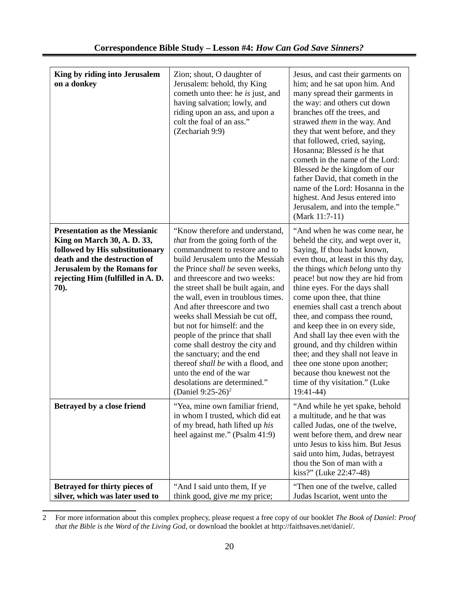| King by riding into Jerusalem<br>on a donkey                                                                                                                                                                              | Zion; shout, O daughter of<br>Jerusalem: behold, thy King<br>cometh unto thee: he is just, and<br>having salvation; lowly, and<br>riding upon an ass, and upon a<br>colt the foal of an ass."<br>(Zechariah 9:9)                                                                                                                                                                                                                                                                                                                                                                                                                     | Jesus, and cast their garments on<br>him; and he sat upon him. And<br>many spread their garments in<br>the way: and others cut down<br>branches off the trees, and<br>strawed them in the way. And<br>they that went before, and they<br>that followed, cried, saying,<br>Hosanna; Blessed is he that<br>cometh in the name of the Lord:<br>Blessed be the kingdom of our<br>father David, that cometh in the<br>name of the Lord: Hosanna in the<br>highest. And Jesus entered into<br>Jerusalem, and into the temple."<br>(Mark 11:7-11)                                                                                |
|---------------------------------------------------------------------------------------------------------------------------------------------------------------------------------------------------------------------------|--------------------------------------------------------------------------------------------------------------------------------------------------------------------------------------------------------------------------------------------------------------------------------------------------------------------------------------------------------------------------------------------------------------------------------------------------------------------------------------------------------------------------------------------------------------------------------------------------------------------------------------|---------------------------------------------------------------------------------------------------------------------------------------------------------------------------------------------------------------------------------------------------------------------------------------------------------------------------------------------------------------------------------------------------------------------------------------------------------------------------------------------------------------------------------------------------------------------------------------------------------------------------|
| <b>Presentation as the Messianic</b><br>King on March 30, A. D. 33,<br>followed by His substitutionary<br>death and the destruction of<br><b>Jerusalem by the Romans for</b><br>rejecting Him (fulfilled in A. D.<br>70). | "Know therefore and understand,<br>that from the going forth of the<br>commandment to restore and to<br>build Jerusalem unto the Messiah<br>the Prince shall be seven weeks,<br>and threescore and two weeks:<br>the street shall be built again, and<br>the wall, even in troublous times.<br>And after threescore and two<br>weeks shall Messiah be cut off,<br>but not for himself: and the<br>people of the prince that shall<br>come shall destroy the city and<br>the sanctuary; and the end<br>thereof shall be with a flood, and<br>unto the end of the war<br>desolations are determined."<br>(Daniel 9:25-26) <sup>2</sup> | "And when he was come near, he<br>beheld the city, and wept over it,<br>Saying, If thou hadst known,<br>even thou, at least in this thy day,<br>the things which belong unto thy<br>peace! but now they are hid from<br>thine eyes. For the days shall<br>come upon thee, that thine<br>enemies shall cast a trench about<br>thee, and compass thee round,<br>and keep thee in on every side,<br>And shall lay thee even with the<br>ground, and thy children within<br>thee; and they shall not leave in<br>thee one stone upon another;<br>because thou knewest not the<br>time of thy visitation." (Luke<br>$19:41-44$ |
| Betrayed by a close friend                                                                                                                                                                                                | "Yea, mine own familiar friend,<br>in whom I trusted, which did eat<br>of my bread, hath lifted up his<br>heel against me." (Psalm 41:9)                                                                                                                                                                                                                                                                                                                                                                                                                                                                                             | "And while he yet spake, behold<br>a multitude, and he that was<br>called Judas, one of the twelve,<br>went before them, and drew near<br>unto Jesus to kiss him. But Jesus<br>said unto him, Judas, betrayest<br>thou the Son of man with a<br>kiss?" (Luke 22:47-48)                                                                                                                                                                                                                                                                                                                                                    |
| Betrayed for thirty pieces of<br>silver, which was later used to                                                                                                                                                          | "And I said unto them, If ye<br>think good, give me my price;                                                                                                                                                                                                                                                                                                                                                                                                                                                                                                                                                                        | "Then one of the twelve, called<br>Judas Iscariot, went unto the                                                                                                                                                                                                                                                                                                                                                                                                                                                                                                                                                          |

<span id="page-19-0"></span><sup>2</sup> For more information about this complex prophecy, please request a free copy of our booklet *The Book of Daniel: Proof that the Bible is the Word of the Living God*, or download the booklet at http://faithsaves.net/daniel/.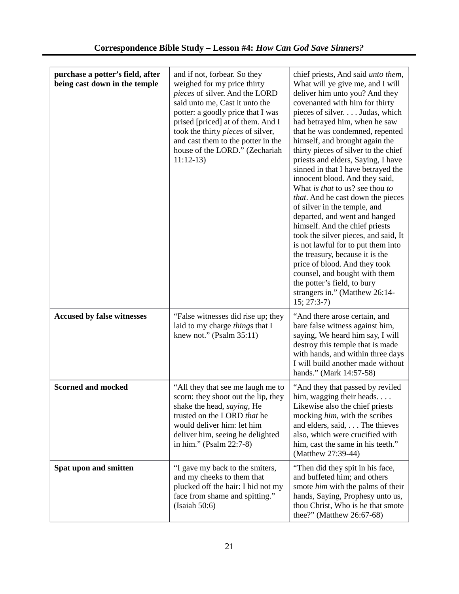| purchase a potter's field, after<br>being cast down in the temple | and if not, forbear. So they<br>weighed for my price thirty<br>pieces of silver. And the LORD<br>said unto me, Cast it unto the<br>potter: a goodly price that I was<br>prised [priced] at of them. And I<br>took the thirty pieces of silver,<br>and cast them to the potter in the<br>house of the LORD." (Zechariah<br>$11:12-13$ | chief priests, And said unto them,<br>What will ye give me, and I will<br>deliver him unto you? And they<br>covenanted with him for thirty<br>pieces of silver. Judas, which<br>had betrayed him, when he saw<br>that he was condemned, repented<br>himself, and brought again the<br>thirty pieces of silver to the chief<br>priests and elders, Saying, I have<br>sinned in that I have betrayed the<br>innocent blood. And they said,<br>What is that to us? see thou to<br>that. And he cast down the pieces<br>of silver in the temple, and<br>departed, and went and hanged<br>himself. And the chief priests<br>took the silver pieces, and said, It<br>is not lawful for to put them into<br>the treasury, because it is the<br>price of blood. And they took<br>counsel, and bought with them<br>the potter's field, to bury<br>strangers in." (Matthew 26:14-<br>$15; 27:3-7$ |
|-------------------------------------------------------------------|--------------------------------------------------------------------------------------------------------------------------------------------------------------------------------------------------------------------------------------------------------------------------------------------------------------------------------------|-----------------------------------------------------------------------------------------------------------------------------------------------------------------------------------------------------------------------------------------------------------------------------------------------------------------------------------------------------------------------------------------------------------------------------------------------------------------------------------------------------------------------------------------------------------------------------------------------------------------------------------------------------------------------------------------------------------------------------------------------------------------------------------------------------------------------------------------------------------------------------------------|
| <b>Accused by false witnesses</b>                                 | "False witnesses did rise up; they<br>laid to my charge things that I<br>knew not." (Psalm 35:11)                                                                                                                                                                                                                                    | "And there arose certain, and<br>bare false witness against him,<br>saying, We heard him say, I will<br>destroy this temple that is made<br>with hands, and within three days<br>I will build another made without<br>hands." (Mark 14:57-58)                                                                                                                                                                                                                                                                                                                                                                                                                                                                                                                                                                                                                                           |
| <b>Scorned and mocked</b>                                         | "All they that see me laugh me to<br>scorn: they shoot out the lip, they<br>shake the head, saying, He<br>trusted on the LORD that he<br>would deliver him: let him<br>deliver him, seeing he delighted<br>in him." (Psalm 22:7-8)                                                                                                   | "And they that passed by reviled<br>him, wagging their heads.<br>Likewise also the chief priests<br>mocking him, with the scribes<br>and elders, said, The thieves<br>also, which were crucified with<br>him, cast the same in his teeth."<br>(Matthew 27:39-44)                                                                                                                                                                                                                                                                                                                                                                                                                                                                                                                                                                                                                        |
| Spat upon and smitten                                             | "I gave my back to the smiters,<br>and my cheeks to them that<br>plucked off the hair: I hid not my<br>face from shame and spitting."<br>(Isaiah 50:6)                                                                                                                                                                               | "Then did they spit in his face,<br>and buffeted him; and others<br>smote him with the palms of their<br>hands, Saying, Prophesy unto us,<br>thou Christ, Who is he that smote<br>thee?" (Matthew 26:67-68)                                                                                                                                                                                                                                                                                                                                                                                                                                                                                                                                                                                                                                                                             |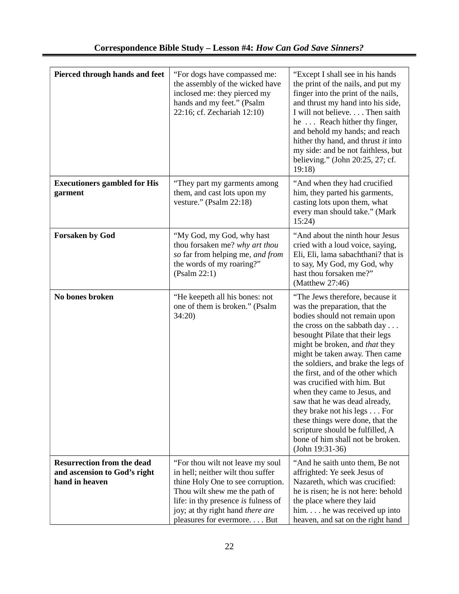| <b>Pierced through hands and feet</b>                                               | "For dogs have compassed me:<br>the assembly of the wicked have<br>inclosed me: they pierced my<br>hands and my feet." (Psalm<br>22:16; cf. Zechariah 12:10)                                                                                          | "Except I shall see in his hands<br>the print of the nails, and put my<br>finger into the print of the nails,<br>and thrust my hand into his side,<br>I will not believe. Then saith<br>he Reach hither thy finger,<br>and behold my hands; and reach<br>hither thy hand, and thrust it into<br>my side: and be not faithless, but<br>believing." (John 20:25, 27; cf.<br>19:18                                                                                                                                                                                                      |
|-------------------------------------------------------------------------------------|-------------------------------------------------------------------------------------------------------------------------------------------------------------------------------------------------------------------------------------------------------|--------------------------------------------------------------------------------------------------------------------------------------------------------------------------------------------------------------------------------------------------------------------------------------------------------------------------------------------------------------------------------------------------------------------------------------------------------------------------------------------------------------------------------------------------------------------------------------|
| <b>Executioners gambled for His</b><br>garment                                      | "They part my garments among<br>them, and cast lots upon my<br>vesture." (Psalm 22:18)                                                                                                                                                                | "And when they had crucified<br>him, they parted his garments,<br>casting lots upon them, what<br>every man should take." (Mark<br>15:24)                                                                                                                                                                                                                                                                                                                                                                                                                                            |
| <b>Forsaken by God</b>                                                              | "My God, my God, why hast<br>thou forsaken me? why art thou<br>so far from helping me, and from<br>the words of my roaring?"<br>(Psalm 22:1)                                                                                                          | "And about the ninth hour Jesus<br>cried with a loud voice, saying,<br>Eli, Eli, lama sabachthani? that is<br>to say, My God, my God, why<br>hast thou forsaken me?"<br>(Matthew 27:46)                                                                                                                                                                                                                                                                                                                                                                                              |
| No bones broken                                                                     | "He keepeth all his bones: not<br>one of them is broken." (Psalm<br>34:20                                                                                                                                                                             | "The Jews therefore, because it<br>was the preparation, that the<br>bodies should not remain upon<br>the cross on the sabbath day<br>besought Pilate that their legs<br>might be broken, and that they<br>might be taken away. Then came<br>the soldiers, and brake the legs of<br>the first, and of the other which<br>was crucified with him. But<br>when they came to Jesus, and<br>saw that he was dead already,<br>they brake not his legs For<br>these things were done, that the<br>scripture should be fulfilled, A<br>bone of him shall not be broken.<br>$(John 19:31-36)$ |
| <b>Resurrection from the dead</b><br>and ascension to God's right<br>hand in heaven | "For thou wilt not leave my soul<br>in hell; neither wilt thou suffer<br>thine Holy One to see corruption.<br>Thou wilt shew me the path of<br>life: in thy presence is fulness of<br>joy; at thy right hand there are<br>pleasures for evermore. But | "And he saith unto them, Be not<br>affrighted: Ye seek Jesus of<br>Nazareth, which was crucified:<br>he is risen; he is not here: behold<br>the place where they laid<br>him. he was received up into<br>heaven, and sat on the right hand                                                                                                                                                                                                                                                                                                                                           |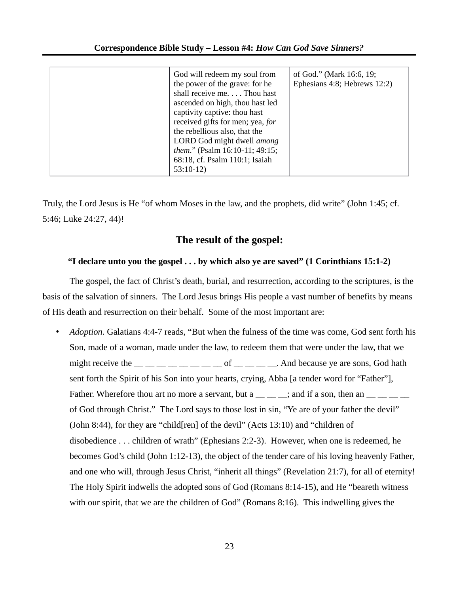|  | God will redeem my soul from<br>the power of the grave: for he<br>shall receive me. Thou hast<br>ascended on high, thou hast led<br>captivity captive: thou hast<br>received gifts for men; yea, for<br>the rebellious also, that the<br>LORD God might dwell among<br>them." (Psalm 16:10-11; 49:15;<br>68:18, cf. Psalm 110:1; Isaiah<br>$53:10-12$ | of God." (Mark 16:6, 19;<br>Ephesians 4:8; Hebrews 12:2) |
|--|-------------------------------------------------------------------------------------------------------------------------------------------------------------------------------------------------------------------------------------------------------------------------------------------------------------------------------------------------------|----------------------------------------------------------|
|--|-------------------------------------------------------------------------------------------------------------------------------------------------------------------------------------------------------------------------------------------------------------------------------------------------------------------------------------------------------|----------------------------------------------------------|

Truly, the Lord Jesus is He "of whom Moses in the law, and the prophets, did write" (John 1:45; cf. 5:46; Luke 24:27, 44)!

## **The result of the gospel:**

## **"I declare unto you the gospel . . . by which also ye are saved" (1 Corinthians 15:1-2)**

The gospel, the fact of Christ's death, burial, and resurrection, according to the scriptures, is the basis of the salvation of sinners. The Lord Jesus brings His people a vast number of benefits by means of His death and resurrection on their behalf. Some of the most important are:

• *Adoption.* Galatians 4:4-7 reads, "But when the fulness of the time was come, God sent forth his Son, made of a woman, made under the law, to redeem them that were under the law, that we might receive the  $\frac{1}{\sqrt{2}}$   $\frac{1}{\sqrt{2}}$   $\frac{1}{\sqrt{2}}$  of  $\frac{1}{\sqrt{2}}$  and because ye are sons, God hath sent forth the Spirit of his Son into your hearts, crying, Abba [a tender word for "Father"], Father. Wherefore thou art no more a servant, but a  $\frac{1}{1}$   $\frac{1}{1}$  and if a son, then an  $\frac{1}{1}$   $\frac{1}{1}$ of God through Christ." The Lord says to those lost in sin, "Ye are of your father the devil" (John 8:44), for they are "child[ren] of the devil" (Acts 13:10) and "children of disobedience . . . children of wrath" (Ephesians 2:2-3). However, when one is redeemed, he becomes God's child (John 1:12-13), the object of the tender care of his loving heavenly Father, and one who will, through Jesus Christ, "inherit all things" (Revelation 21:7), for all of eternity! The Holy Spirit indwells the adopted sons of God (Romans 8:14-15), and He "beareth witness with our spirit, that we are the children of God" (Romans 8:16). This indwelling gives the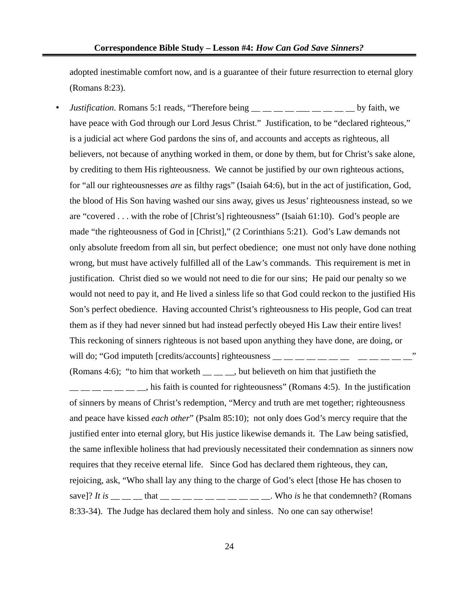adopted inestimable comfort now, and is a guarantee of their future resurrection to eternal glory (Romans 8:23).

• *Justification.* Romans 5:1 reads, "Therefore being \_\_ \_ \_ \_ \_ \_ \_ \_ \_ \_ \_ by faith, we have peace with God through our Lord Jesus Christ." Justification, to be "declared righteous," is a judicial act where God pardons the sins of, and accounts and accepts as righteous, all believers, not because of anything worked in them, or done by them, but for Christ's sake alone, by crediting to them His righteousness. We cannot be justified by our own righteous actions, for "all our righteousnesses *are* as filthy rags" (Isaiah 64:6), but in the act of justification, God, the blood of His Son having washed our sins away, gives us Jesus' righteousness instead, so we are "covered . . . with the robe of [Christ's] righteousness" (Isaiah 61:10). God's people are made "the righteousness of God in [Christ]," (2 Corinthians 5:21). God's Law demands not only absolute freedom from all sin, but perfect obedience; one must not only have done nothing wrong, but must have actively fulfilled all of the Law's commands. This requirement is met in justification. Christ died so we would not need to die for our sins; He paid our penalty so we would not need to pay it, and He lived a sinless life so that God could reckon to the justified His Son's perfect obedience. Having accounted Christ's righteousness to His people, God can treat them as if they had never sinned but had instead perfectly obeyed His Law their entire lives! This reckoning of sinners righteous is not based upon anything they have done, are doing, or will do; "God imputeth [credits/accounts] righteousness  $\cdots$ 

(Romans 4:6); "to him that worketh  $\_\_\_\_$ , but believeth on him that justifieth the  $\mu_{\text{max}} = 1$  and  $\mu_{\text{max}} = 1$ , his faith is counted for righteousness" (Romans 4:5). In the justification of sinners by means of Christ's redemption, "Mercy and truth are met together; righteousness and peace have kissed *each other*" (Psalm 85:10); not only does God's mercy require that the justified enter into eternal glory, but His justice likewise demands it. The Law being satisfied, the same inflexible holiness that had previously necessitated their condemnation as sinners now requires that they receive eternal life. Since God has declared them righteous, they can, rejoicing, ask, "Who shall lay any thing to the charge of God's elect [those He has chosen to save]? *It is*  $\qquad$  \_\_ that  $\qquad$  \_\_ \_\_ \_\_ \_\_ \_\_ \_\_ \_\_ . Who *is* he that condemneth? (Romans 8:33-34). The Judge has declared them holy and sinless. No one can say otherwise!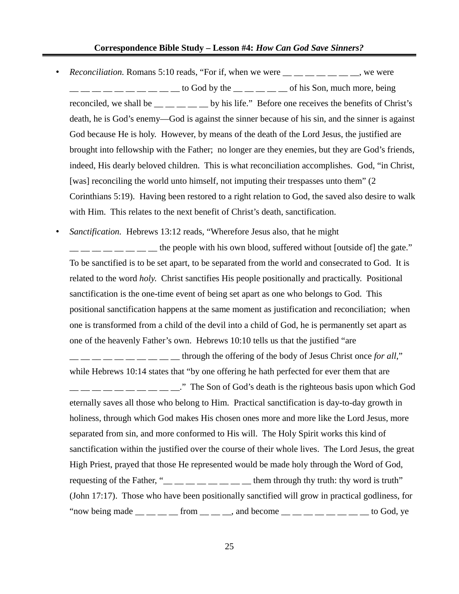- *Reconciliation*. Romans 5:10 reads, "For if, when we were \_\_ \_ \_ \_ \_ \_ \_ \_ \_ we were  $\frac{1}{2}$   $\frac{1}{2}$   $\frac{1}{2}$   $\frac{1}{2}$   $\frac{1}{2}$  to God by the  $\frac{1}{2}$   $\frac{1}{2}$   $\frac{1}{2}$  of his Son, much more, being reconciled, we shall be  $\frac{1}{1-\frac{1}{1-\frac{1}{1-\frac{1}{1-\frac{1}{1-\frac{1}{1-\frac{1}{1-\frac{1}{1-\frac{1}{1-\frac{1}{1-\frac{1}{1-\frac{1}{1-\frac{1}{1-\frac{1}{1-\frac{1}{1-\frac{1}{1-\frac{1}{1-\frac{1}{1-\frac{1}{1-\frac{1}{1-\frac{1}{1-\frac{1}{1-\frac{1}{1-\frac{1}{1-\frac{1}{1-\frac{1}{1-\frac{1}{1-\frac{1}{1-\frac{1}{1-\frac{1}{1-\frac{1}{1-\frac{1}{1-\frac{1$ death, he is God's enemy—God is against the sinner because of his sin, and the sinner is against God because He is holy. However, by means of the death of the Lord Jesus, the justified are brought into fellowship with the Father; no longer are they enemies, but they are God's friends, indeed, His dearly beloved children. This is what reconciliation accomplishes. God, "in Christ, [was] reconciling the world unto himself, not imputing their trespasses unto them" (2 Corinthians 5:19). Having been restored to a right relation to God, the saved also desire to walk with Him. This relates to the next benefit of Christ's death, sanctification.
- *Sanctification.* Hebrews 13:12 reads, "Wherefore Jesus also, that he might

 $\frac{1}{1}$   $\frac{1}{1}$   $\frac{1}{1}$   $\frac{1}{1}$   $\frac{1}{1}$  the people with his own blood, suffered without [outside of] the gate." To be sanctified is to be set apart, to be separated from the world and consecrated to God. It is related to the word *holy*. Christ sanctifies His people positionally and practically. Positional sanctification is the one-time event of being set apart as one who belongs to God. This positional sanctification happens at the same moment as justification and reconciliation; when one is transformed from a child of the devil into a child of God, he is permanently set apart as one of the heavenly Father's own. Hebrews 10:10 tells us that the justified "are

 $\frac{1}{1-\frac{1}{1-\frac{1}{1-\frac{1}{1-\frac{1}{1-\frac{1}{1-\frac{1}{1-\frac{1}{1-\frac{1}{1-\frac{1}{1-\frac{1}{1-\frac{1}{1-\frac{1}{1-\frac{1}{1-\frac{1}{1-\frac{1}{1-\frac{1}{1-\frac{1}{1-\frac{1}{1-\frac{1}{1-\frac{1}{1-\frac{1}{1-\frac{1}{1-\frac{1}{1-\frac{1}{1-\frac{1}{1-\frac{1}{1-\frac{1}{1-\frac{1}{1-\frac{1}{1-\frac{1}{1-\frac{1}{1-\frac{1}{1-\frac{1}{1-\frac{1}{1-\frac{1}{1-\frac{1}{$ while Hebrews 10:14 states that "by one offering he hath perfected for ever them that are  $\frac{1}{2}$   $\frac{1}{2}$   $\frac{1}{2}$   $\frac{1}{2}$   $\frac{1}{2}$   $\frac{1}{2}$   $\frac{1}{2}$   $\frac{1}{2}$  The Son of God's death is the righteous basis upon which God eternally saves all those who belong to Him. Practical sanctification is day-to-day growth in holiness, through which God makes His chosen ones more and more like the Lord Jesus, more separated from sin, and more conformed to His will. The Holy Spirit works this kind of sanctification within the justified over the course of their whole lives. The Lord Jesus, the great High Priest, prayed that those He represented would be made holy through the Word of God, requesting of the Father, " $\frac{1}{2}$   $\frac{1}{2}$   $\frac{1}{2}$   $\frac{1}{2}$   $\frac{1}{2}$   $\frac{1}{2}$   $\frac{1}{2}$  them through thy truth: thy word is truth" (John 17:17). Those who have been positionally sanctified will grow in practical godliness, for "now being made  $\_\_\_\_\_\_$  from  $\_\_\_\_\_$  and become  $\_\_\_\_\_\_\_\_\_\_$   $\_\_\_\_\_$  to God, ye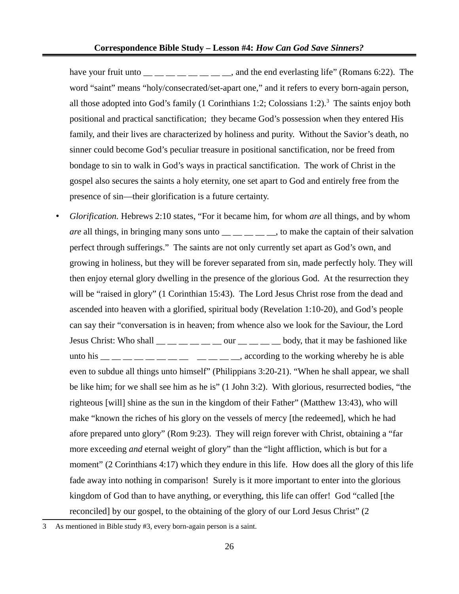have your fruit unto  $\frac{1}{\frac{1}{2}}$   $\frac{1}{\frac{1}{2}}$   $\frac{1}{\frac{1}{2}}$  and the end everlasting life" (Romans 6:22). The word "saint" means "holy/consecrated/set-apart one," and it refers to every born-again person, all those adopted into God's family (1 Corinthians 1:2; Colossians 1:2).<sup>[3](#page-25-0)</sup> The saints enjoy both positional and practical sanctification; they became God's possession when they entered His family, and their lives are characterized by holiness and purity. Without the Savior's death, no sinner could become God's peculiar treasure in positional sanctification, nor be freed from bondage to sin to walk in God's ways in practical sanctification. The work of Christ in the gospel also secures the saints a holy eternity, one set apart to God and entirely free from the presence of sin—their glorification is a future certainty.

• *Glorification.* Hebrews 2:10 states, "For it became him, for whom *are* all things, and by whom *are* all things, in bringing many sons unto \_\_ \_ \_ \_ \_ \_, to make the captain of their salvation perfect through sufferings." The saints are not only currently set apart as God's own, and growing in holiness, but they will be forever separated from sin, made perfectly holy. They will then enjoy eternal glory dwelling in the presence of the glorious God. At the resurrection they will be "raised in glory" (1 Corinthian 15:43). The Lord Jesus Christ rose from the dead and ascended into heaven with a glorified, spiritual body (Revelation 1:10-20), and God's people can say their "conversation is in heaven; from whence also we look for the Saviour, the Lord Jesus Christ: Who shall  $\_\_\_\_\_\_\_\_\_$  our  $\_\_\_\_\_\_\_$  body, that it may be fashioned like unto his  $\frac{m}{m}$   $\frac{m}{m}$   $\frac{m}{m}$   $\frac{m}{m}$   $\frac{m}{m}$   $\frac{m}{m}$  according to the working whereby he is able even to subdue all things unto himself" (Philippians 3:20-21). "When he shall appear, we shall be like him; for we shall see him as he is" (1 John 3:2). With glorious, resurrected bodies, "the righteous [will] shine as the sun in the kingdom of their Father" (Matthew 13:43), who will make "known the riches of his glory on the vessels of mercy [the redeemed], which he had afore prepared unto glory" (Rom 9:23). They will reign forever with Christ, obtaining a "far more exceeding *and* eternal weight of glory" than the "light affliction, which is but for a moment" (2 Corinthians 4:17) which they endure in this life. How does all the glory of this life fade away into nothing in comparison! Surely is it more important to enter into the glorious kingdom of God than to have anything, or everything, this life can offer! God "called [the reconciled] by our gospel, to the obtaining of the glory of our Lord Jesus Christ" (2

<span id="page-25-0"></span><sup>3</sup> As mentioned in Bible study #3, every born-again person is a saint.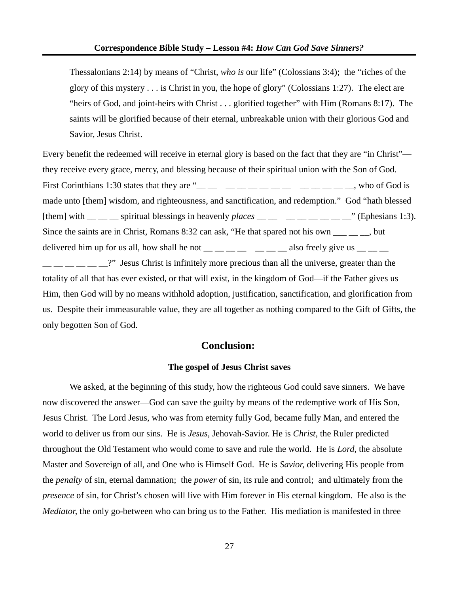Thessalonians 2:14) by means of "Christ, *who is* our life" (Colossians 3:4); the "riches of the glory of this mystery . . . is Christ in you, the hope of glory" (Colossians 1:27). The elect are "heirs of God, and joint-heirs with Christ . . . glorified together" with Him (Romans 8:17). The saints will be glorified because of their eternal, unbreakable union with their glorious God and Savior, Jesus Christ.

Every benefit the redeemed will receive in eternal glory is based on the fact that they are "in Christ" they receive every grace, mercy, and blessing because of their spiritual union with the Son of God. First Corinthians 1:30 states that they are " $\frac{m}{m}$   $\frac{m}{m}$   $\frac{m}{m}$   $\frac{m}{m}$   $\frac{m}{m}$   $\frac{m}{m}$   $\frac{m}{m}$   $\frac{m}{m}$  who of God is made unto [them] wisdom, and righteousness, and sanctification, and redemption." God "hath blessed [them] with  $\_\_\_\_$  spiritual blessings in heavenly *places*  $\_\_\_\_$   $\_\_\_\_\_$   $\_\_\_\_$  (Ephesians 1:3). Since the saints are in Christ, Romans 8:32 can ask, "He that spared not his own \_\_\_ \_\_ \_, but delivered him up for us all, how shall he not  $\_\_\_\_\_\_\_\_\_\_\_\$  also freely give us  $\_\_\_\_\_\_\_\_\_\$ **\_\_ \_\_ \_\_ \_\_ ^** Jesus Christ is infinitely more precious than all the universe, greater than the totality of all that has ever existed, or that will exist, in the kingdom of God—if the Father gives us Him, then God will by no means withhold adoption, justification, sanctification, and glorification from us. Despite their immeasurable value, they are all together as nothing compared to the Gift of Gifts, the only begotten Son of God.

## **Conclusion:**

#### **The gospel of Jesus Christ saves**

We asked, at the beginning of this study, how the righteous God could save sinners. We have now discovered the answer—God can save the guilty by means of the redemptive work of His Son, Jesus Christ. The Lord Jesus, who was from eternity fully God, became fully Man, and entered the world to deliver us from our sins. He is *Jesus*, Jehovah-Savior. He is *Christ*, the Ruler predicted throughout the Old Testament who would come to save and rule the world. He is *Lord*, the absolute Master and Sovereign of all, and One who is Himself God. He is *Savior*, delivering His people from the *penalty* of sin, eternal damnation; the *power* of sin, its rule and control; and ultimately from the *presence* of sin, for Christ's chosen will live with Him forever in His eternal kingdom. He also is the *Mediator*, the only go-between who can bring us to the Father. His mediation is manifested in three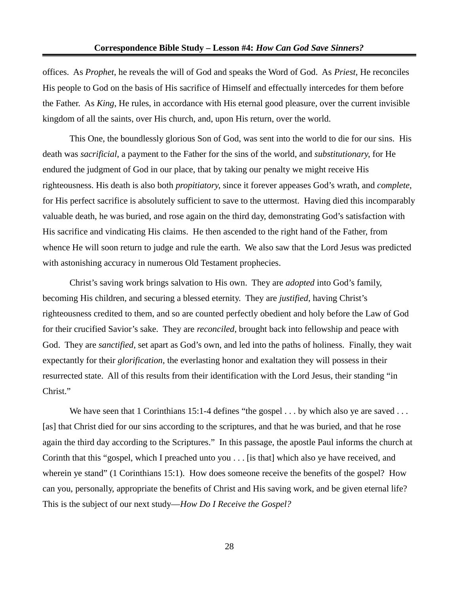offices. As *Prophet*, he reveals the will of God and speaks the Word of God. As *Priest*, He reconciles His people to God on the basis of His sacrifice of Himself and effectually intercedes for them before the Father. As *King*, He rules, in accordance with His eternal good pleasure, over the current invisible kingdom of all the saints, over His church, and, upon His return, over the world.

This One, the boundlessly glorious Son of God, was sent into the world to die for our sins. His death was *sacrificial*, a payment to the Father for the sins of the world, and *substitutionary*, for He endured the judgment of God in our place, that by taking our penalty we might receive His righteousness. His death is also both *propitiatory*, since it forever appeases God's wrath, and *complete*, for His perfect sacrifice is absolutely sufficient to save to the uttermost. Having died this incomparably valuable death, he was buried, and rose again on the third day, demonstrating God's satisfaction with His sacrifice and vindicating His claims. He then ascended to the right hand of the Father, from whence He will soon return to judge and rule the earth. We also saw that the Lord Jesus was predicted with astonishing accuracy in numerous Old Testament prophecies.

Christ's saving work brings salvation to His own. They are *adopted* into God's family, becoming His children, and securing a blessed eternity. They are *justified*, having Christ's righteousness credited to them, and so are counted perfectly obedient and holy before the Law of God for their crucified Savior's sake. They are *reconciled*, brought back into fellowship and peace with God. They are *sanctified*, set apart as God's own, and led into the paths of holiness. Finally, they wait expectantly for their *glorification*, the everlasting honor and exaltation they will possess in their resurrected state. All of this results from their identification with the Lord Jesus, their standing "in Christ."

We have seen that 1 Corinthians 15:1-4 defines "the gospel . . . by which also ye are saved . . . [as] that Christ died for our sins according to the scriptures, and that he was buried, and that he rose again the third day according to the Scriptures." In this passage, the apostle Paul informs the church at Corinth that this "gospel, which I preached unto you . . . [is that] which also ye have received, and wherein ye stand" (1 Corinthians 15:1). How does someone receive the benefits of the gospel? How can you, personally, appropriate the benefits of Christ and His saving work, and be given eternal life? This is the subject of our next study—*How Do I Receive the Gospel?*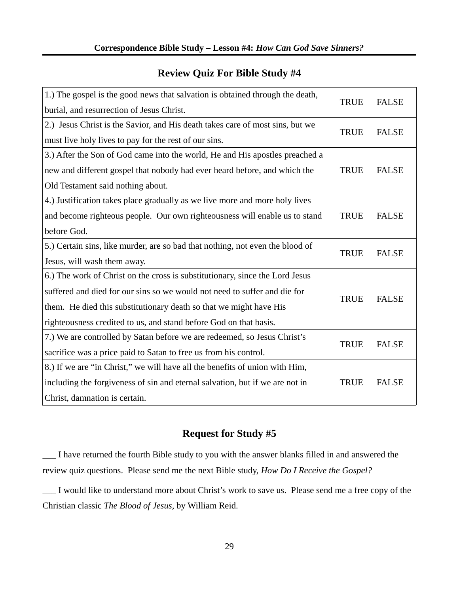| <b>Review Quiz For Bible Study #4</b> |  |  |  |
|---------------------------------------|--|--|--|
|                                       |  |  |  |

| 1.) The gospel is the good news that salvation is obtained through the death, |             | <b>FALSE</b> |
|-------------------------------------------------------------------------------|-------------|--------------|
| burial, and resurrection of Jesus Christ.                                     | <b>TRUE</b> |              |
| 2.) Jesus Christ is the Savior, and His death takes care of most sins, but we | <b>TRUE</b> | <b>FALSE</b> |
| must live holy lives to pay for the rest of our sins.                         |             |              |
| 3.) After the Son of God came into the world, He and His apostles preached a  |             |              |
| new and different gospel that nobody had ever heard before, and which the     | <b>TRUE</b> | <b>FALSE</b> |
| Old Testament said nothing about.                                             |             |              |
| 4.) Justification takes place gradually as we live more and more holy lives   |             |              |
| and become righteous people. Our own righteousness will enable us to stand    | <b>TRUE</b> | <b>FALSE</b> |
| before God.                                                                   |             |              |
| 5.) Certain sins, like murder, are so bad that nothing, not even the blood of | <b>TRUE</b> | <b>FALSE</b> |
| Jesus, will wash them away.                                                   |             |              |
| 6.) The work of Christ on the cross is substitutionary, since the Lord Jesus  |             |              |
| suffered and died for our sins so we would not need to suffer and die for     | <b>TRUE</b> | <b>FALSE</b> |
| them. He died this substitutionary death so that we might have His            |             |              |
| righteousness credited to us, and stand before God on that basis.             |             |              |
| 7.) We are controlled by Satan before we are redeemed, so Jesus Christ's      | <b>TRUE</b> | <b>FALSE</b> |
| sacrifice was a price paid to Satan to free us from his control.              |             |              |
| 8.) If we are "in Christ," we will have all the benefits of union with Him,   |             |              |
| including the forgiveness of sin and eternal salvation, but if we are not in  | <b>TRUE</b> | <b>FALSE</b> |
| Christ, damnation is certain.                                                 |             |              |

## **Request for Study #5**

\_\_\_ I have returned the fourth Bible study to you with the answer blanks filled in and answered the review quiz questions. Please send me the next Bible study, *How Do I Receive the Gospel?*

\_\_\_ I would like to understand more about Christ's work to save us. Please send me a free copy of the Christian classic *The Blood of Jesus,* by William Reid.